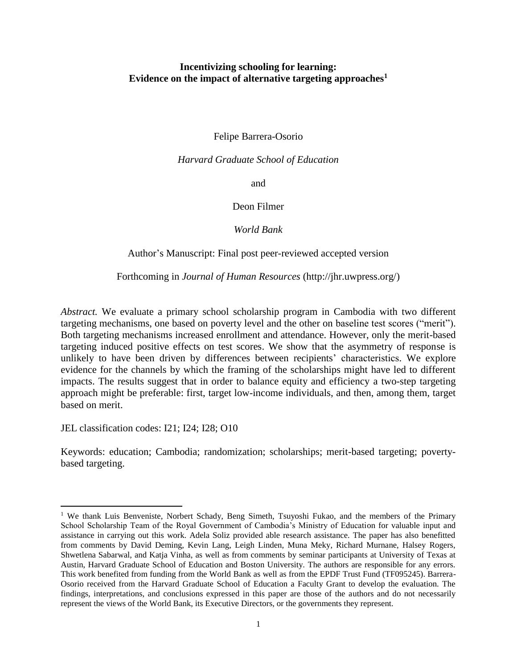# **Incentivizing schooling for learning: Evidence on the impact of alternative targeting approaches<sup>1</sup>**

Felipe Barrera-Osorio

*Harvard Graduate School of Education*

and

Deon Filmer

*World Bank*

Author's Manuscript: Final post peer-reviewed accepted version

Forthcoming in *Journal of Human Resources* (http://jhr.uwpress.org/)

*Abstract.* We evaluate a primary school scholarship program in Cambodia with two different targeting mechanisms, one based on poverty level and the other on baseline test scores ("merit"). Both targeting mechanisms increased enrollment and attendance. However, only the merit-based targeting induced positive effects on test scores. We show that the asymmetry of response is unlikely to have been driven by differences between recipients' characteristics. We explore evidence for the channels by which the framing of the scholarships might have led to different impacts. The results suggest that in order to balance equity and efficiency a two-step targeting approach might be preferable: first, target low-income individuals, and then, among them, target based on merit.

JEL classification codes: I21; I24; I28; O10

 $\overline{a}$ 

Keywords: education; Cambodia; randomization; scholarships; merit-based targeting; povertybased targeting.

<sup>&</sup>lt;sup>1</sup> We thank Luis Benveniste, Norbert Schady, Beng Simeth, Tsuyoshi Fukao, and the members of the Primary School Scholarship Team of the Royal Government of Cambodia's Ministry of Education for valuable input and assistance in carrying out this work. Adela Soliz provided able research assistance. The paper has also benefitted from comments by David Deming, Kevin Lang, Leigh Linden, Muna Meky, Richard Murnane, Halsey Rogers, Shwetlena Sabarwal, and Katja Vinha, as well as from comments by seminar participants at University of Texas at Austin, Harvard Graduate School of Education and Boston University. The authors are responsible for any errors. This work benefited from funding from the World Bank as well as from the EPDF Trust Fund (TF095245). Barrera-Osorio received from the Harvard Graduate School of Education a Faculty Grant to develop the evaluation. The findings, interpretations, and conclusions expressed in this paper are those of the authors and do not necessarily represent the views of the World Bank, its Executive Directors, or the governments they represent.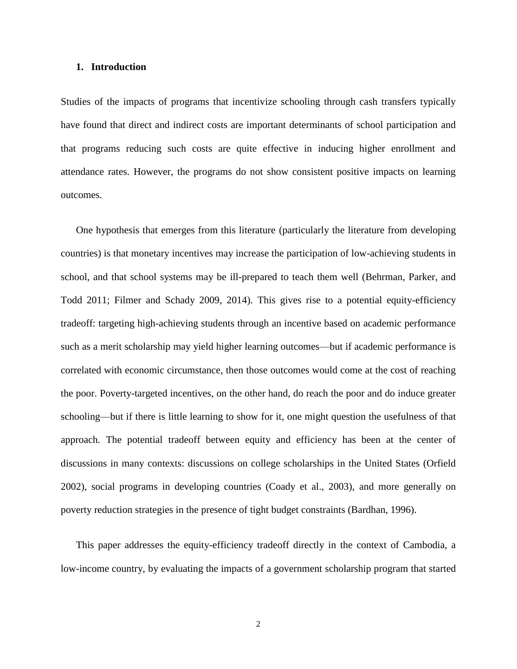#### **1. Introduction**

Studies of the impacts of programs that incentivize schooling through cash transfers typically have found that direct and indirect costs are important determinants of school participation and that programs reducing such costs are quite effective in inducing higher enrollment and attendance rates. However, the programs do not show consistent positive impacts on learning outcomes.

One hypothesis that emerges from this literature (particularly the literature from developing countries) is that monetary incentives may increase the participation of low-achieving students in school, and that school systems may be ill-prepared to teach them well (Behrman, Parker, and Todd 2011; Filmer and Schady 2009, 2014). This gives rise to a potential equity-efficiency tradeoff: targeting high-achieving students through an incentive based on academic performance such as a merit scholarship may yield higher learning outcomes—but if academic performance is correlated with economic circumstance, then those outcomes would come at the cost of reaching the poor. Poverty-targeted incentives, on the other hand, do reach the poor and do induce greater schooling—but if there is little learning to show for it, one might question the usefulness of that approach. The potential tradeoff between equity and efficiency has been at the center of discussions in many contexts: discussions on college scholarships in the United States (Orfield 2002), social programs in developing countries (Coady et al., 2003), and more generally on poverty reduction strategies in the presence of tight budget constraints (Bardhan, 1996).

This paper addresses the equity-efficiency tradeoff directly in the context of Cambodia, a low-income country, by evaluating the impacts of a government scholarship program that started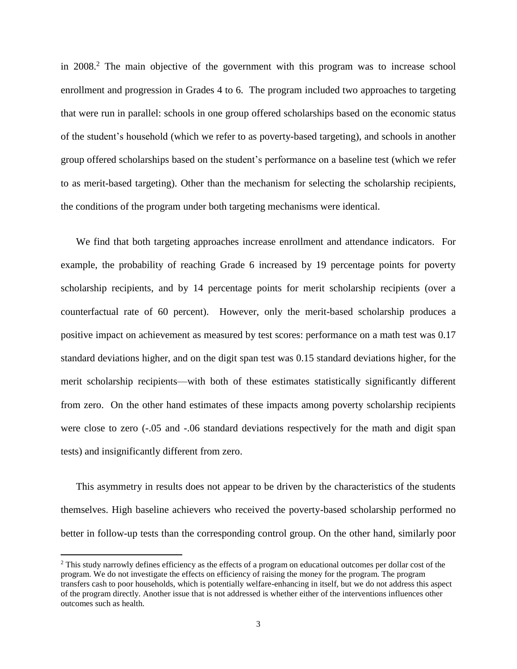in  $2008<sup>2</sup>$ . The main objective of the government with this program was to increase school enrollment and progression in Grades 4 to 6. The program included two approaches to targeting that were run in parallel: schools in one group offered scholarships based on the economic status of the student's household (which we refer to as poverty-based targeting), and schools in another group offered scholarships based on the student's performance on a baseline test (which we refer to as merit-based targeting). Other than the mechanism for selecting the scholarship recipients, the conditions of the program under both targeting mechanisms were identical.

We find that both targeting approaches increase enrollment and attendance indicators. For example, the probability of reaching Grade 6 increased by 19 percentage points for poverty scholarship recipients, and by 14 percentage points for merit scholarship recipients (over a counterfactual rate of 60 percent). However, only the merit-based scholarship produces a positive impact on achievement as measured by test scores: performance on a math test was 0.17 standard deviations higher, and on the digit span test was 0.15 standard deviations higher, for the merit scholarship recipients—with both of these estimates statistically significantly different from zero. On the other hand estimates of these impacts among poverty scholarship recipients were close to zero (-.05 and -.06 standard deviations respectively for the math and digit span tests) and insignificantly different from zero.

This asymmetry in results does not appear to be driven by the characteristics of the students themselves. High baseline achievers who received the poverty-based scholarship performed no better in follow-up tests than the corresponding control group. On the other hand, similarly poor

<sup>&</sup>lt;sup>2</sup> This study narrowly defines efficiency as the effects of a program on educational outcomes per dollar cost of the program. We do not investigate the effects on efficiency of raising the money for the program. The program transfers cash to poor households, which is potentially welfare-enhancing in itself, but we do not address this aspect of the program directly. Another issue that is not addressed is whether either of the interventions influences other outcomes such as health.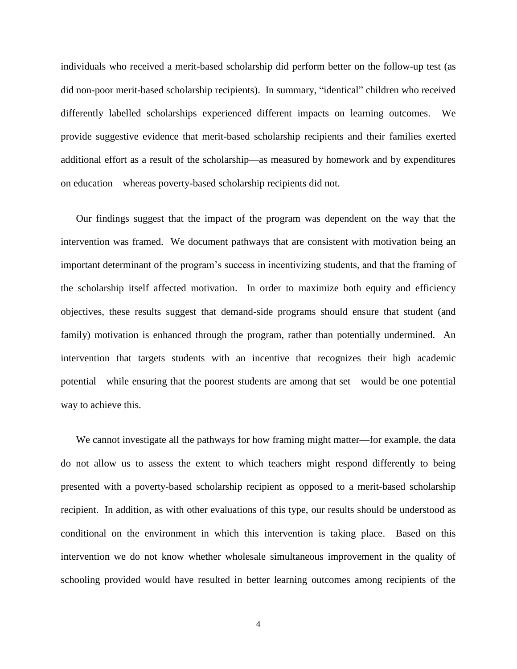individuals who received a merit-based scholarship did perform better on the follow-up test (as did non-poor merit-based scholarship recipients). In summary, "identical" children who received differently labelled scholarships experienced different impacts on learning outcomes. We provide suggestive evidence that merit-based scholarship recipients and their families exerted additional effort as a result of the scholarship—as measured by homework and by expenditures on education—whereas poverty-based scholarship recipients did not.

Our findings suggest that the impact of the program was dependent on the way that the intervention was framed. We document pathways that are consistent with motivation being an important determinant of the program's success in incentivizing students, and that the framing of the scholarship itself affected motivation. In order to maximize both equity and efficiency objectives, these results suggest that demand-side programs should ensure that student (and family) motivation is enhanced through the program, rather than potentially undermined. An intervention that targets students with an incentive that recognizes their high academic potential—while ensuring that the poorest students are among that set—would be one potential way to achieve this.

We cannot investigate all the pathways for how framing might matter—for example, the data do not allow us to assess the extent to which teachers might respond differently to being presented with a poverty-based scholarship recipient as opposed to a merit-based scholarship recipient. In addition, as with other evaluations of this type, our results should be understood as conditional on the environment in which this intervention is taking place. Based on this intervention we do not know whether wholesale simultaneous improvement in the quality of schooling provided would have resulted in better learning outcomes among recipients of the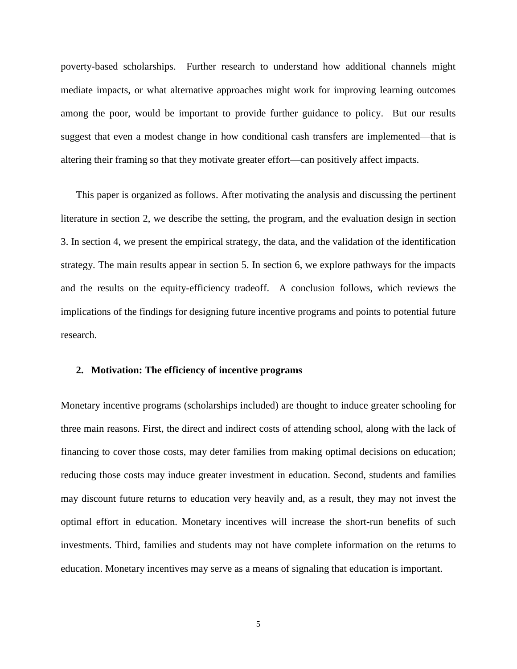poverty-based scholarships. Further research to understand how additional channels might mediate impacts, or what alternative approaches might work for improving learning outcomes among the poor, would be important to provide further guidance to policy. But our results suggest that even a modest change in how conditional cash transfers are implemented—that is altering their framing so that they motivate greater effort—can positively affect impacts.

This paper is organized as follows. After motivating the analysis and discussing the pertinent literature in section 2, we describe the setting, the program, and the evaluation design in section 3. In section 4, we present the empirical strategy, the data, and the validation of the identification strategy. The main results appear in section 5. In section 6, we explore pathways for the impacts and the results on the equity-efficiency tradeoff. A conclusion follows, which reviews the implications of the findings for designing future incentive programs and points to potential future research.

### **2. Motivation: The efficiency of incentive programs**

Monetary incentive programs (scholarships included) are thought to induce greater schooling for three main reasons. First, the direct and indirect costs of attending school, along with the lack of financing to cover those costs, may deter families from making optimal decisions on education; reducing those costs may induce greater investment in education. Second, students and families may discount future returns to education very heavily and, as a result, they may not invest the optimal effort in education. Monetary incentives will increase the short-run benefits of such investments. Third, families and students may not have complete information on the returns to education. Monetary incentives may serve as a means of signaling that education is important.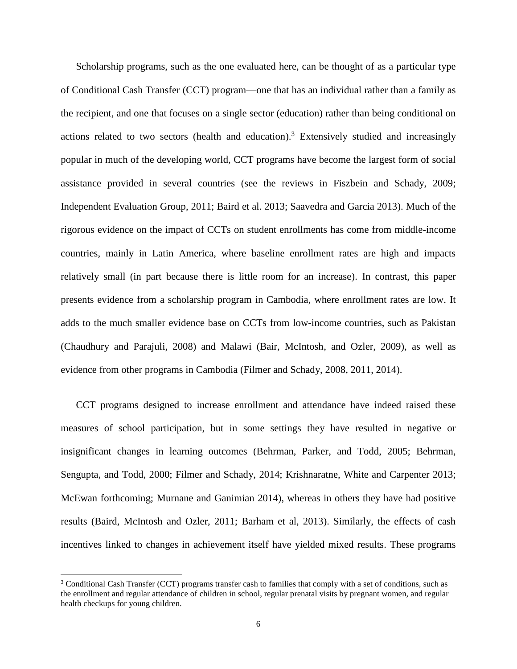Scholarship programs, such as the one evaluated here, can be thought of as a particular type of Conditional Cash Transfer (CCT) program—one that has an individual rather than a family as the recipient, and one that focuses on a single sector (education) rather than being conditional on actions related to two sectors (health and education).<sup>3</sup> Extensively studied and increasingly popular in much of the developing world, CCT programs have become the largest form of social assistance provided in several countries (see the reviews in Fiszbein and Schady, 2009; Independent Evaluation Group, 2011; Baird et al. 2013; Saavedra and Garcia 2013). Much of the rigorous evidence on the impact of CCTs on student enrollments has come from middle-income countries, mainly in Latin America, where baseline enrollment rates are high and impacts relatively small (in part because there is little room for an increase). In contrast, this paper presents evidence from a scholarship program in Cambodia, where enrollment rates are low. It adds to the much smaller evidence base on CCTs from low-income countries, such as Pakistan (Chaudhury and Parajuli, 2008) and Malawi (Bair, McIntosh, and Ozler, 2009), as well as evidence from other programs in Cambodia (Filmer and Schady, 2008, 2011, 2014).

CCT programs designed to increase enrollment and attendance have indeed raised these measures of school participation, but in some settings they have resulted in negative or insignificant changes in learning outcomes (Behrman, Parker, and Todd, 2005; Behrman, Sengupta, and Todd, 2000; Filmer and Schady, 2014; Krishnaratne, White and Carpenter 2013; McEwan forthcoming; Murnane and Ganimian 2014), whereas in others they have had positive results (Baird, McIntosh and Ozler, 2011; Barham et al, 2013). Similarly, the effects of cash incentives linked to changes in achievement itself have yielded mixed results. These programs

<sup>3</sup> Conditional Cash Transfer (CCT) programs transfer cash to families that comply with a set of conditions, such as the enrollment and regular attendance of children in school, regular prenatal visits by pregnant women, and regular health checkups for young children.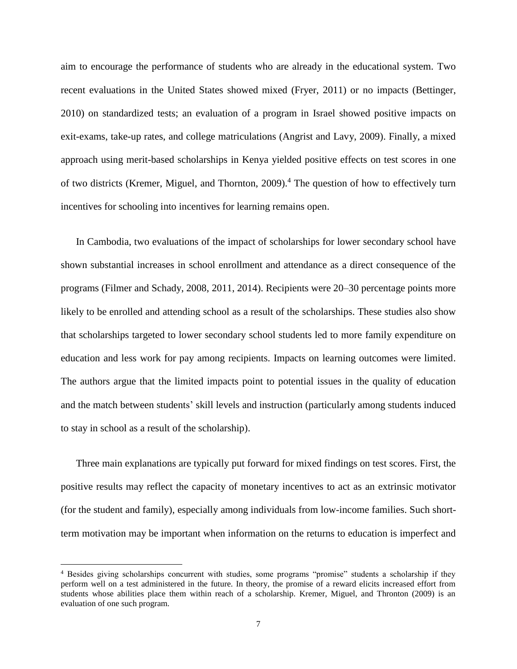aim to encourage the performance of students who are already in the educational system. Two recent evaluations in the United States showed mixed (Fryer, 2011) or no impacts (Bettinger, 2010) on standardized tests; an evaluation of a program in Israel showed positive impacts on exit-exams, take-up rates, and college matriculations (Angrist and Lavy, 2009). Finally, a mixed approach using merit-based scholarships in Kenya yielded positive effects on test scores in one of two districts (Kremer, Miguel, and Thornton, 2009).<sup>4</sup> The question of how to effectively turn incentives for schooling into incentives for learning remains open.

In Cambodia, two evaluations of the impact of scholarships for lower secondary school have shown substantial increases in school enrollment and attendance as a direct consequence of the programs (Filmer and Schady, 2008, 2011, 2014). Recipients were 20–30 percentage points more likely to be enrolled and attending school as a result of the scholarships. These studies also show that scholarships targeted to lower secondary school students led to more family expenditure on education and less work for pay among recipients. Impacts on learning outcomes were limited. The authors argue that the limited impacts point to potential issues in the quality of education and the match between students' skill levels and instruction (particularly among students induced to stay in school as a result of the scholarship).

Three main explanations are typically put forward for mixed findings on test scores. First, the positive results may reflect the capacity of monetary incentives to act as an extrinsic motivator (for the student and family), especially among individuals from low-income families. Such shortterm motivation may be important when information on the returns to education is imperfect and

<sup>4</sup> Besides giving scholarships concurrent with studies, some programs "promise" students a scholarship if they perform well on a test administered in the future. In theory, the promise of a reward elicits increased effort from students whose abilities place them within reach of a scholarship. Kremer, Miguel, and Thronton (2009) is an evaluation of one such program.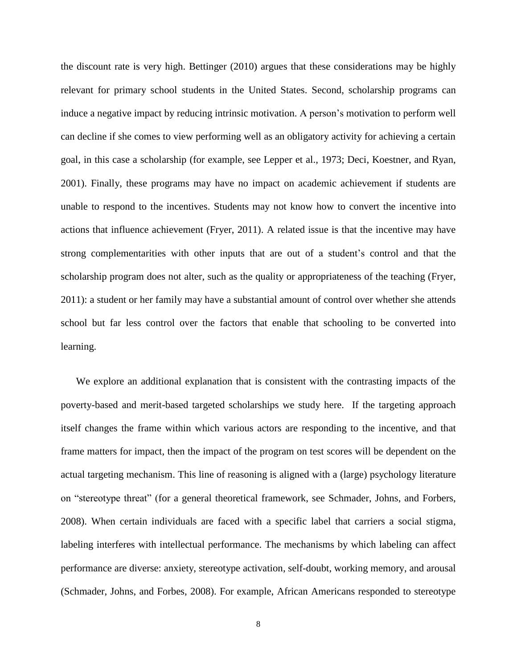the discount rate is very high. Bettinger (2010) argues that these considerations may be highly relevant for primary school students in the United States. Second, scholarship programs can induce a negative impact by reducing intrinsic motivation. A person's motivation to perform well can decline if she comes to view performing well as an obligatory activity for achieving a certain goal, in this case a scholarship (for example, see Lepper et al., 1973; Deci, Koestner, and Ryan, 2001). Finally, these programs may have no impact on academic achievement if students are unable to respond to the incentives. Students may not know how to convert the incentive into actions that influence achievement (Fryer, 2011). A related issue is that the incentive may have strong complementarities with other inputs that are out of a student's control and that the scholarship program does not alter, such as the quality or appropriateness of the teaching (Fryer, 2011): a student or her family may have a substantial amount of control over whether she attends school but far less control over the factors that enable that schooling to be converted into learning.

We explore an additional explanation that is consistent with the contrasting impacts of the poverty-based and merit-based targeted scholarships we study here. If the targeting approach itself changes the frame within which various actors are responding to the incentive, and that frame matters for impact, then the impact of the program on test scores will be dependent on the actual targeting mechanism. This line of reasoning is aligned with a (large) psychology literature on "stereotype threat" (for a general theoretical framework, see Schmader, Johns, and Forbers, 2008). When certain individuals are faced with a specific label that carriers a social stigma, labeling interferes with intellectual performance. The mechanisms by which labeling can affect performance are diverse: anxiety, stereotype activation, self-doubt, working memory, and arousal (Schmader, Johns, and Forbes, 2008). For example, African Americans responded to stereotype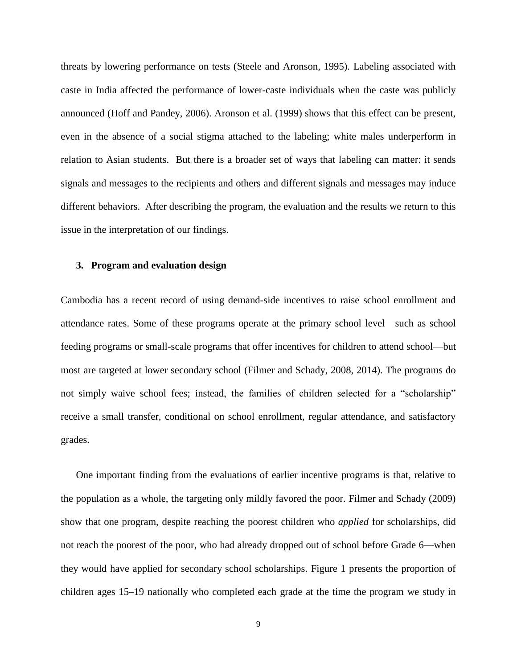threats by lowering performance on tests (Steele and Aronson, 1995). Labeling associated with caste in India affected the performance of lower-caste individuals when the caste was publicly announced (Hoff and Pandey, 2006). Aronson et al. (1999) shows that this effect can be present, even in the absence of a social stigma attached to the labeling; white males underperform in relation to Asian students. But there is a broader set of ways that labeling can matter: it sends signals and messages to the recipients and others and different signals and messages may induce different behaviors. After describing the program, the evaluation and the results we return to this issue in the interpretation of our findings.

### **3. Program and evaluation design**

Cambodia has a recent record of using demand-side incentives to raise school enrollment and attendance rates. Some of these programs operate at the primary school level—such as school feeding programs or small-scale programs that offer incentives for children to attend school—but most are targeted at lower secondary school (Filmer and Schady, 2008, 2014). The programs do not simply waive school fees; instead, the families of children selected for a "scholarship" receive a small transfer, conditional on school enrollment, regular attendance, and satisfactory grades.

One important finding from the evaluations of earlier incentive programs is that, relative to the population as a whole, the targeting only mildly favored the poor. Filmer and Schady (2009) show that one program, despite reaching the poorest children who *applied* for scholarships, did not reach the poorest of the poor, who had already dropped out of school before Grade 6—when they would have applied for secondary school scholarships. Figure 1 presents the proportion of children ages 15–19 nationally who completed each grade at the time the program we study in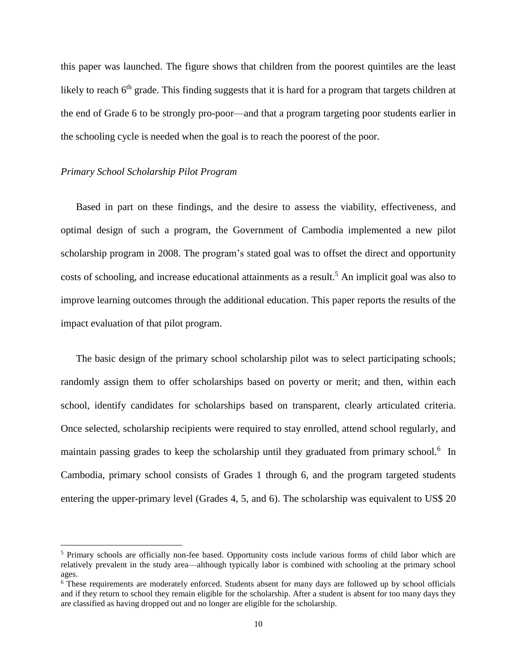this paper was launched. The figure shows that children from the poorest quintiles are the least likely to reach  $6<sup>th</sup>$  grade. This finding suggests that it is hard for a program that targets children at the end of Grade 6 to be strongly pro-poor—and that a program targeting poor students earlier in the schooling cycle is needed when the goal is to reach the poorest of the poor.

### *Primary School Scholarship Pilot Program*

 $\overline{a}$ 

Based in part on these findings, and the desire to assess the viability, effectiveness, and optimal design of such a program, the Government of Cambodia implemented a new pilot scholarship program in 2008. The program's stated goal was to offset the direct and opportunity costs of schooling, and increase educational attainments as a result.<sup>5</sup> An implicit goal was also to improve learning outcomes through the additional education. This paper reports the results of the impact evaluation of that pilot program.

The basic design of the primary school scholarship pilot was to select participating schools; randomly assign them to offer scholarships based on poverty or merit; and then, within each school, identify candidates for scholarships based on transparent, clearly articulated criteria. Once selected, scholarship recipients were required to stay enrolled, attend school regularly, and maintain passing grades to keep the scholarship until they graduated from primary school.<sup>6</sup> In Cambodia, primary school consists of Grades 1 through 6, and the program targeted students entering the upper-primary level (Grades 4, 5, and 6). The scholarship was equivalent to US\$ 20

<sup>5</sup> Primary schools are officially non-fee based. Opportunity costs include various forms of child labor which are relatively prevalent in the study area—although typically labor is combined with schooling at the primary school ages.

<sup>6</sup> These requirements are moderately enforced. Students absent for many days are followed up by school officials and if they return to school they remain eligible for the scholarship. After a student is absent for too many days they are classified as having dropped out and no longer are eligible for the scholarship.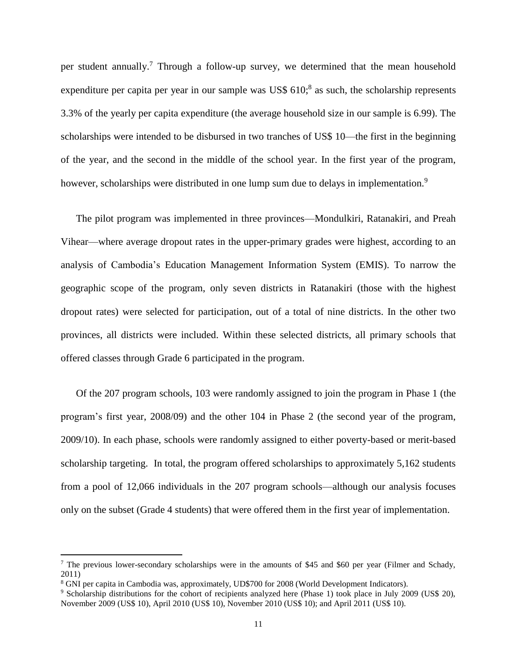per student annually.<sup>7</sup> Through a follow-up survey, we determined that the mean household expenditure per capita per year in our sample was US\$ 610;<sup>8</sup> as such, the scholarship represents 3.3% of the yearly per capita expenditure (the average household size in our sample is 6.99). The scholarships were intended to be disbursed in two tranches of US\$ 10—the first in the beginning of the year, and the second in the middle of the school year. In the first year of the program, however, scholarships were distributed in one lump sum due to delays in implementation.<sup>9</sup>

The pilot program was implemented in three provinces—Mondulkiri, Ratanakiri, and Preah Vihear—where average dropout rates in the upper-primary grades were highest, according to an analysis of Cambodia's Education Management Information System (EMIS). To narrow the geographic scope of the program, only seven districts in Ratanakiri (those with the highest dropout rates) were selected for participation, out of a total of nine districts. In the other two provinces, all districts were included. Within these selected districts, all primary schools that offered classes through Grade 6 participated in the program.

Of the 207 program schools, 103 were randomly assigned to join the program in Phase 1 (the program's first year, 2008/09) and the other 104 in Phase 2 (the second year of the program, 2009/10). In each phase, schools were randomly assigned to either poverty-based or merit-based scholarship targeting. In total, the program offered scholarships to approximately 5,162 students from a pool of 12,066 individuals in the 207 program schools—although our analysis focuses only on the subset (Grade 4 students) that were offered them in the first year of implementation.

<sup>&</sup>lt;sup>7</sup> The previous lower-secondary scholarships were in the amounts of \$45 and \$60 per year (Filmer and Schady, 2011)

<sup>8</sup> GNI per capita in Cambodia was, approximately, UD\$700 for 2008 (World Development Indicators).

<sup>9</sup> Scholarship distributions for the cohort of recipients analyzed here (Phase 1) took place in July 2009 (US\$ 20), November 2009 (US\$ 10), April 2010 (US\$ 10), November 2010 (US\$ 10); and April 2011 (US\$ 10).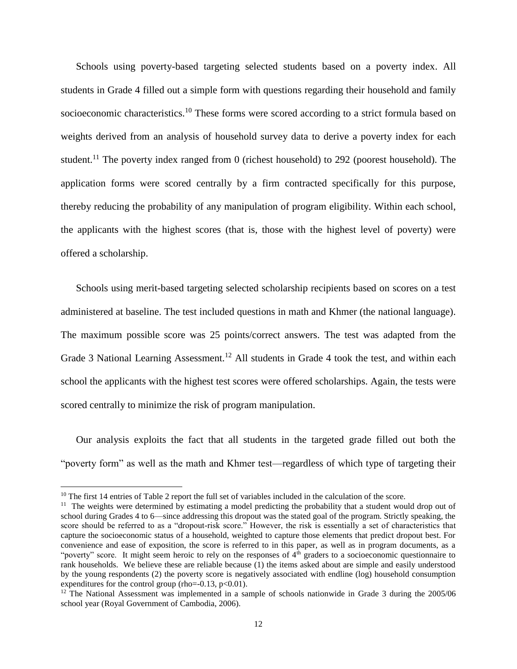Schools using poverty-based targeting selected students based on a poverty index. All students in Grade 4 filled out a simple form with questions regarding their household and family socioeconomic characteristics.<sup>10</sup> These forms were scored according to a strict formula based on weights derived from an analysis of household survey data to derive a poverty index for each student.<sup>11</sup> The poverty index ranged from 0 (richest household) to 292 (poorest household). The application forms were scored centrally by a firm contracted specifically for this purpose, thereby reducing the probability of any manipulation of program eligibility. Within each school, the applicants with the highest scores (that is, those with the highest level of poverty) were offered a scholarship.

Schools using merit-based targeting selected scholarship recipients based on scores on a test administered at baseline. The test included questions in math and Khmer (the national language). The maximum possible score was 25 points/correct answers. The test was adapted from the Grade 3 National Learning Assessment.<sup>12</sup> All students in Grade 4 took the test, and within each school the applicants with the highest test scores were offered scholarships. Again, the tests were scored centrally to minimize the risk of program manipulation.

Our analysis exploits the fact that all students in the targeted grade filled out both the "poverty form" as well as the math and Khmer test—regardless of which type of targeting their

<sup>&</sup>lt;sup>10</sup> The first 14 entries of Table 2 report the full set of variables included in the calculation of the score.

<sup>&</sup>lt;sup>11</sup> The weights were determined by estimating a model predicting the probability that a student would drop out of school during Grades 4 to 6—since addressing this dropout was the stated goal of the program. Strictly speaking, the score should be referred to as a "dropout-risk score." However, the risk is essentially a set of characteristics that capture the socioeconomic status of a household, weighted to capture those elements that predict dropout best. For convenience and ease of exposition, the score is referred to in this paper, as well as in program documents, as a "poverty" score. It might seem heroic to rely on the responses of  $4<sup>th</sup>$  graders to a socioeconomic questionnaire to rank households. We believe these are reliable because (1) the items asked about are simple and easily understood by the young respondents (2) the poverty score is negatively associated with endline (log) household consumption expenditures for the control group (rho= $-0.13$ , p<0.01).

<sup>&</sup>lt;sup>12</sup> The National Assessment was implemented in a sample of schools nationwide in Grade 3 during the 2005/06 school year (Royal Government of Cambodia, 2006).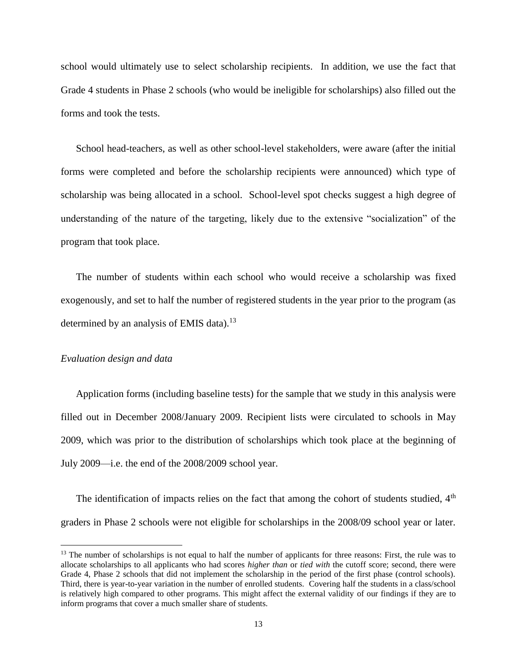school would ultimately use to select scholarship recipients. In addition, we use the fact that Grade 4 students in Phase 2 schools (who would be ineligible for scholarships) also filled out the forms and took the tests.

School head-teachers, as well as other school-level stakeholders, were aware (after the initial forms were completed and before the scholarship recipients were announced) which type of scholarship was being allocated in a school. School-level spot checks suggest a high degree of understanding of the nature of the targeting, likely due to the extensive "socialization" of the program that took place.

The number of students within each school who would receive a scholarship was fixed exogenously, and set to half the number of registered students in the year prior to the program (as determined by an analysis of EMIS data).<sup>13</sup>

#### *Evaluation design and data*

 $\overline{a}$ 

Application forms (including baseline tests) for the sample that we study in this analysis were filled out in December 2008/January 2009. Recipient lists were circulated to schools in May 2009, which was prior to the distribution of scholarships which took place at the beginning of July 2009—i.e. the end of the 2008/2009 school year.

The identification of impacts relies on the fact that among the cohort of students studied,  $4<sup>th</sup>$ graders in Phase 2 schools were not eligible for scholarships in the 2008/09 school year or later.

 $13$  The number of scholarships is not equal to half the number of applicants for three reasons: First, the rule was to allocate scholarships to all applicants who had scores *higher than* or *tied with* the cutoff score; second, there were Grade 4, Phase 2 schools that did not implement the scholarship in the period of the first phase (control schools). Third, there is year-to-year variation in the number of enrolled students. Covering half the students in a class/school is relatively high compared to other programs. This might affect the external validity of our findings if they are to inform programs that cover a much smaller share of students.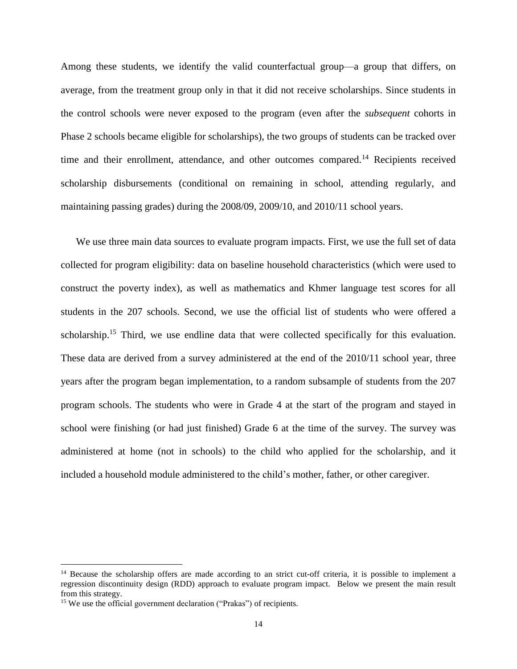Among these students, we identify the valid counterfactual group—a group that differs, on average, from the treatment group only in that it did not receive scholarships. Since students in the control schools were never exposed to the program (even after the *subsequent* cohorts in Phase 2 schools became eligible for scholarships), the two groups of students can be tracked over time and their enrollment, attendance, and other outcomes compared.<sup>14</sup> Recipients received scholarship disbursements (conditional on remaining in school, attending regularly, and maintaining passing grades) during the 2008/09, 2009/10, and 2010/11 school years.

We use three main data sources to evaluate program impacts. First, we use the full set of data collected for program eligibility: data on baseline household characteristics (which were used to construct the poverty index), as well as mathematics and Khmer language test scores for all students in the 207 schools. Second, we use the official list of students who were offered a scholarship.<sup>15</sup> Third, we use endline data that were collected specifically for this evaluation. These data are derived from a survey administered at the end of the 2010/11 school year, three years after the program began implementation, to a random subsample of students from the 207 program schools. The students who were in Grade 4 at the start of the program and stayed in school were finishing (or had just finished) Grade 6 at the time of the survey. The survey was administered at home (not in schools) to the child who applied for the scholarship, and it included a household module administered to the child's mother, father, or other caregiver.

 $14$  Because the scholarship offers are made according to an strict cut-off criteria, it is possible to implement a regression discontinuity design (RDD) approach to evaluate program impact. Below we present the main result from this strategy.

<sup>&</sup>lt;sup>15</sup> We use the official government declaration ("Prakas") of recipients.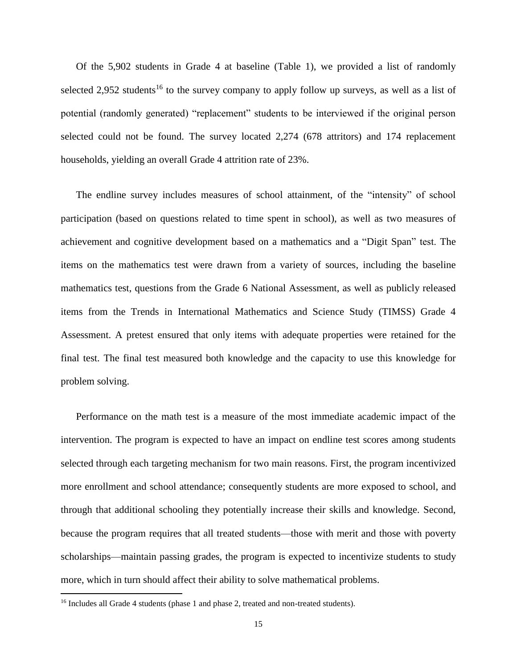Of the 5,902 students in Grade 4 at baseline (Table 1), we provided a list of randomly selected 2,952 students<sup>16</sup> to the survey company to apply follow up surveys, as well as a list of potential (randomly generated) "replacement" students to be interviewed if the original person selected could not be found. The survey located 2,274 (678 attritors) and 174 replacement households, yielding an overall Grade 4 attrition rate of 23%.

The endline survey includes measures of school attainment, of the "intensity" of school participation (based on questions related to time spent in school), as well as two measures of achievement and cognitive development based on a mathematics and a "Digit Span" test. The items on the mathematics test were drawn from a variety of sources, including the baseline mathematics test, questions from the Grade 6 National Assessment, as well as publicly released items from the Trends in International Mathematics and Science Study (TIMSS) Grade 4 Assessment. A pretest ensured that only items with adequate properties were retained for the final test. The final test measured both knowledge and the capacity to use this knowledge for problem solving.

Performance on the math test is a measure of the most immediate academic impact of the intervention. The program is expected to have an impact on endline test scores among students selected through each targeting mechanism for two main reasons. First, the program incentivized more enrollment and school attendance; consequently students are more exposed to school, and through that additional schooling they potentially increase their skills and knowledge. Second, because the program requires that all treated students—those with merit and those with poverty scholarships—maintain passing grades, the program is expected to incentivize students to study more, which in turn should affect their ability to solve mathematical problems.

<sup>&</sup>lt;sup>16</sup> Includes all Grade 4 students (phase 1 and phase 2, treated and non-treated students).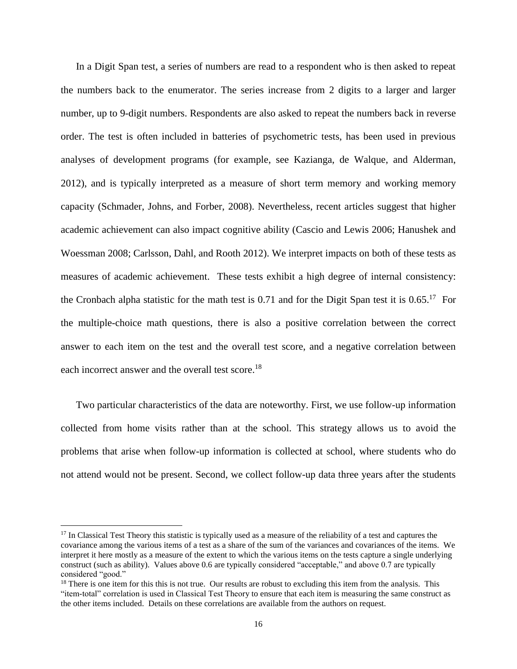In a Digit Span test, a series of numbers are read to a respondent who is then asked to repeat the numbers back to the enumerator. The series increase from 2 digits to a larger and larger number, up to 9-digit numbers. Respondents are also asked to repeat the numbers back in reverse order. The test is often included in batteries of psychometric tests, has been used in previous analyses of development programs (for example, see Kazianga, de Walque, and Alderman, 2012), and is typically interpreted as a measure of short term memory and working memory capacity (Schmader, Johns, and Forber, 2008). Nevertheless, recent articles suggest that higher academic achievement can also impact cognitive ability (Cascio and Lewis 2006; Hanushek and Woessman 2008; Carlsson, Dahl, and Rooth 2012). We interpret impacts on both of these tests as measures of academic achievement. These tests exhibit a high degree of internal consistency: the Cronbach alpha statistic for the math test is  $0.71$  and for the Digit Span test it is  $0.65$ .<sup>17</sup> For the multiple-choice math questions, there is also a positive correlation between the correct answer to each item on the test and the overall test score, and a negative correlation between each incorrect answer and the overall test score.<sup>18</sup>

Two particular characteristics of the data are noteworthy. First, we use follow-up information collected from home visits rather than at the school. This strategy allows us to avoid the problems that arise when follow-up information is collected at school, where students who do not attend would not be present. Second, we collect follow-up data three years after the students

 $17$  In Classical Test Theory this statistic is typically used as a measure of the reliability of a test and captures the covariance among the various items of a test as a share of the sum of the variances and covariances of the items. We interpret it here mostly as a measure of the extent to which the various items on the tests capture a single underlying construct (such as ability). Values above 0.6 are typically considered "acceptable," and above 0.7 are typically considered "good."

 $18$  There is one item for this this is not true. Our results are robust to excluding this item from the analysis. This "item-total" correlation is used in Classical Test Theory to ensure that each item is measuring the same construct as the other items included. Details on these correlations are available from the authors on request.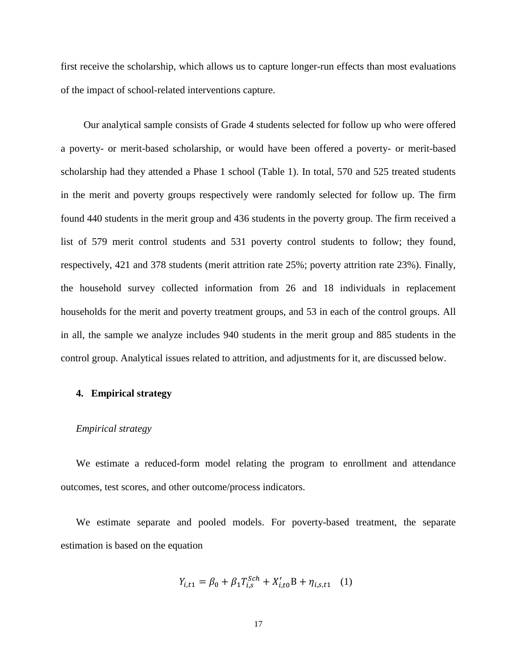first receive the scholarship, which allows us to capture longer-run effects than most evaluations of the impact of school-related interventions capture.

 Our analytical sample consists of Grade 4 students selected for follow up who were offered a poverty- or merit-based scholarship, or would have been offered a poverty- or merit-based scholarship had they attended a Phase 1 school (Table 1). In total, 570 and 525 treated students in the merit and poverty groups respectively were randomly selected for follow up. The firm found 440 students in the merit group and 436 students in the poverty group. The firm received a list of 579 merit control students and 531 poverty control students to follow; they found, respectively, 421 and 378 students (merit attrition rate 25%; poverty attrition rate 23%). Finally, the household survey collected information from 26 and 18 individuals in replacement households for the merit and poverty treatment groups, and 53 in each of the control groups. All in all, the sample we analyze includes 940 students in the merit group and 885 students in the control group. Analytical issues related to attrition, and adjustments for it, are discussed below.

## **4. Empirical strategy**

#### *Empirical strategy*

We estimate a reduced-form model relating the program to enrollment and attendance outcomes, test scores, and other outcome/process indicators.

We estimate separate and pooled models. For poverty-based treatment, the separate estimation is based on the equation

$$
Y_{i,t1} = \beta_0 + \beta_1 T_{i,s}^{Sch} + X_{i,t0}'B + \eta_{i,s,t1} \quad (1)
$$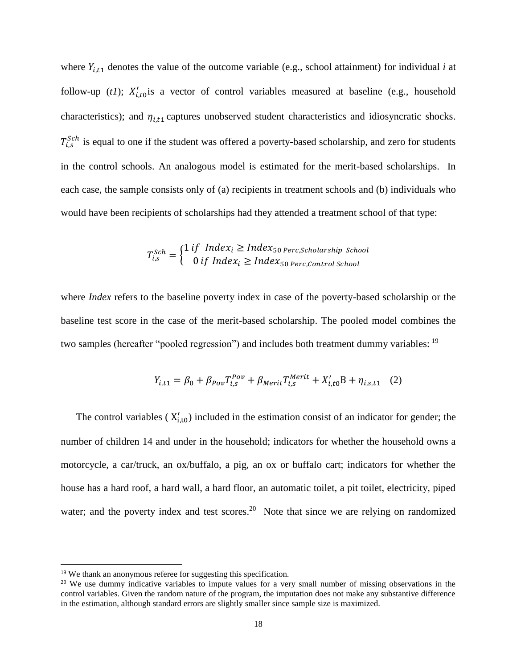where  $Y_{i,t1}$  denotes the value of the outcome variable (e.g., school attainment) for individual *i* at follow-up (*t1*);  $X'_{i,t0}$  is a vector of control variables measured at baseline (e.g., household characteristics); and  $\eta_{i,t}$  captures unobserved student characteristics and idiosyncratic shocks.  $T_{i,s}^{Sch}$  is equal to one if the student was offered a poverty-based scholarship, and zero for students in the control schools. An analogous model is estimated for the merit-based scholarships. In each case, the sample consists only of (a) recipients in treatment schools and (b) individuals who would have been recipients of scholarships had they attended a treatment school of that type:

$$
T_{i,s}^{Sch} = \begin{cases} 1 \text{ if } Index_i \geq Index_{50} \text{ } perc, \text{scholarship School} \\ 0 \text{ if } Index_i \geq Index_{50} \text{ } perc, \text{Control School} \end{cases}
$$

where *Index* refers to the baseline poverty index in case of the poverty-based scholarship or the baseline test score in the case of the merit-based scholarship. The pooled model combines the two samples (hereafter "pooled regression") and includes both treatment dummy variables: <sup>19</sup>

$$
Y_{i,t1} = \beta_0 + \beta_{\text{Pov}} T_{i,s}^{\text{Pov}} + \beta_{\text{Merit}} T_{i,s}^{\text{Merit}} + X_{i,t0}' \mathbf{B} + \eta_{i,s,t1} \quad (2)
$$

The control variables  $(X'_{i,t0})$  included in the estimation consist of an indicator for gender; the number of children 14 and under in the household; indicators for whether the household owns a motorcycle, a car/truck, an ox/buffalo, a pig, an ox or buffalo cart; indicators for whether the house has a hard roof, a hard wall, a hard floor, an automatic toilet, a pit toilet, electricity, piped water; and the poverty index and test scores.<sup>20</sup> Note that since we are relying on randomized

<sup>&</sup>lt;sup>19</sup> We thank an anonymous referee for suggesting this specification.

<sup>&</sup>lt;sup>20</sup> We use dummy indicative variables to impute values for a very small number of missing observations in the control variables. Given the random nature of the program, the imputation does not make any substantive difference in the estimation, although standard errors are slightly smaller since sample size is maximized.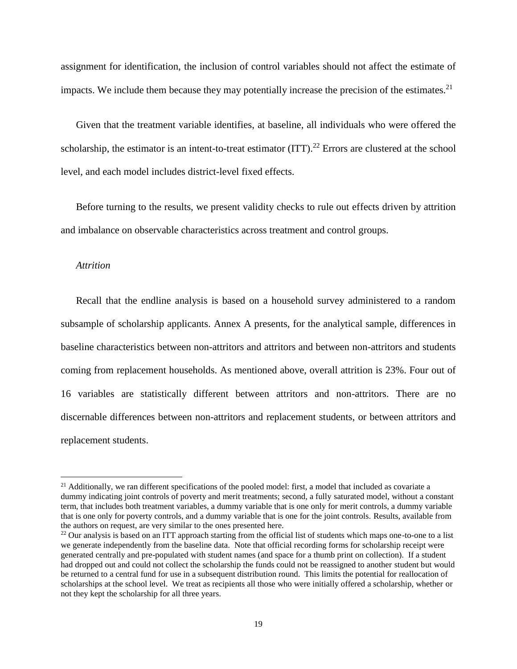assignment for identification, the inclusion of control variables should not affect the estimate of impacts. We include them because they may potentially increase the precision of the estimates.<sup>21</sup>

Given that the treatment variable identifies, at baseline, all individuals who were offered the scholarship, the estimator is an intent-to-treat estimator (ITT).<sup>22</sup> Errors are clustered at the school level, and each model includes district-level fixed effects.

Before turning to the results, we present validity checks to rule out effects driven by attrition and imbalance on observable characteristics across treatment and control groups.

### *Attrition*

 $\overline{a}$ 

Recall that the endline analysis is based on a household survey administered to a random subsample of scholarship applicants. Annex A presents, for the analytical sample, differences in baseline characteristics between non-attritors and attritors and between non-attritors and students coming from replacement households. As mentioned above, overall attrition is 23%. Four out of 16 variables are statistically different between attritors and non-attritors. There are no discernable differences between non-attritors and replacement students, or between attritors and replacement students.

<sup>&</sup>lt;sup>21</sup> Additionally, we ran different specifications of the pooled model: first, a model that included as covariate a dummy indicating joint controls of poverty and merit treatments; second, a fully saturated model, without a constant term, that includes both treatment variables, a dummy variable that is one only for merit controls, a dummy variable that is one only for poverty controls, and a dummy variable that is one for the joint controls. Results, available from the authors on request, are very similar to the ones presented here.

 $^{22}$  Our analysis is based on an ITT approach starting from the official list of students which maps one-to-one to a list we generate independently from the baseline data. Note that official recording forms for scholarship receipt were generated centrally and pre-populated with student names (and space for a thumb print on collection). If a student had dropped out and could not collect the scholarship the funds could not be reassigned to another student but would be returned to a central fund for use in a subsequent distribution round. This limits the potential for reallocation of scholarships at the school level. We treat as recipients all those who were initially offered a scholarship, whether or not they kept the scholarship for all three years.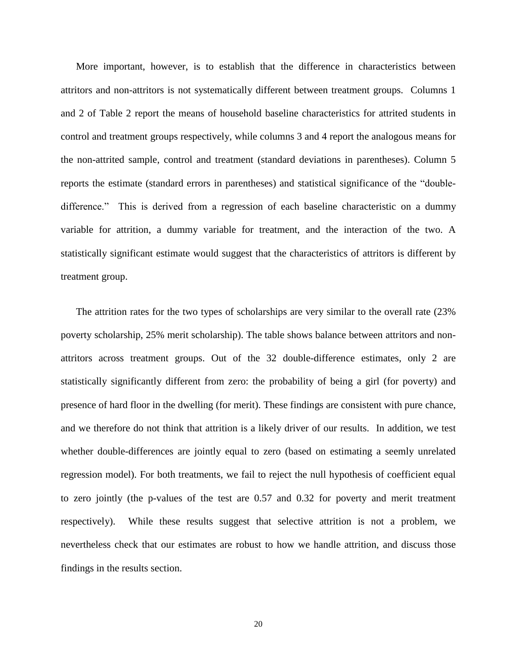More important, however, is to establish that the difference in characteristics between attritors and non-attritors is not systematically different between treatment groups. Columns 1 and 2 of Table 2 report the means of household baseline characteristics for attrited students in control and treatment groups respectively, while columns 3 and 4 report the analogous means for the non-attrited sample, control and treatment (standard deviations in parentheses). Column 5 reports the estimate (standard errors in parentheses) and statistical significance of the "doubledifference." This is derived from a regression of each baseline characteristic on a dummy variable for attrition, a dummy variable for treatment, and the interaction of the two. A statistically significant estimate would suggest that the characteristics of attritors is different by treatment group.

The attrition rates for the two types of scholarships are very similar to the overall rate (23% poverty scholarship, 25% merit scholarship). The table shows balance between attritors and nonattritors across treatment groups. Out of the 32 double-difference estimates, only 2 are statistically significantly different from zero: the probability of being a girl (for poverty) and presence of hard floor in the dwelling (for merit). These findings are consistent with pure chance, and we therefore do not think that attrition is a likely driver of our results. In addition, we test whether double-differences are jointly equal to zero (based on estimating a seemly unrelated regression model). For both treatments, we fail to reject the null hypothesis of coefficient equal to zero jointly (the p-values of the test are 0.57 and 0.32 for poverty and merit treatment respectively). While these results suggest that selective attrition is not a problem, we nevertheless check that our estimates are robust to how we handle attrition, and discuss those findings in the results section.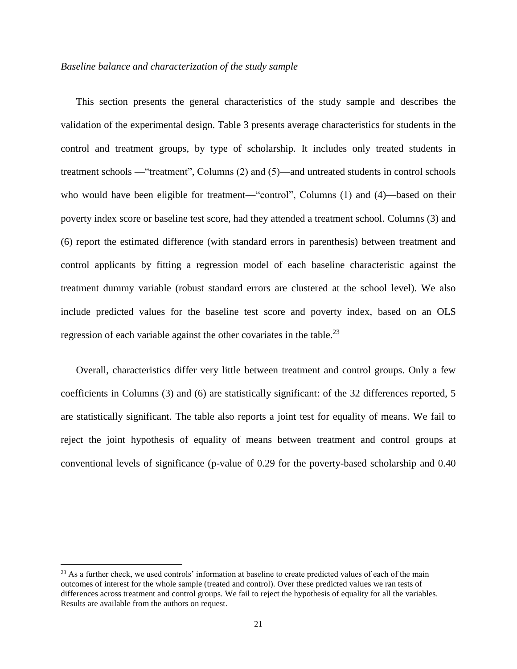## *Baseline balance and characterization of the study sample*

This section presents the general characteristics of the study sample and describes the validation of the experimental design. Table 3 presents average characteristics for students in the control and treatment groups, by type of scholarship. It includes only treated students in treatment schools —"treatment", Columns (2) and (5)—and untreated students in control schools who would have been eligible for treatment—"control", Columns (1) and (4)—based on their poverty index score or baseline test score, had they attended a treatment school. Columns (3) and (6) report the estimated difference (with standard errors in parenthesis) between treatment and control applicants by fitting a regression model of each baseline characteristic against the treatment dummy variable (robust standard errors are clustered at the school level). We also include predicted values for the baseline test score and poverty index, based on an OLS regression of each variable against the other covariates in the table.<sup>23</sup>

Overall, characteristics differ very little between treatment and control groups. Only a few coefficients in Columns (3) and (6) are statistically significant: of the 32 differences reported, 5 are statistically significant. The table also reports a joint test for equality of means. We fail to reject the joint hypothesis of equality of means between treatment and control groups at conventional levels of significance (p-value of 0.29 for the poverty-based scholarship and 0.40

<sup>&</sup>lt;sup>23</sup> As a further check, we used controls' information at baseline to create predicted values of each of the main outcomes of interest for the whole sample (treated and control). Over these predicted values we ran tests of differences across treatment and control groups. We fail to reject the hypothesis of equality for all the variables. Results are available from the authors on request.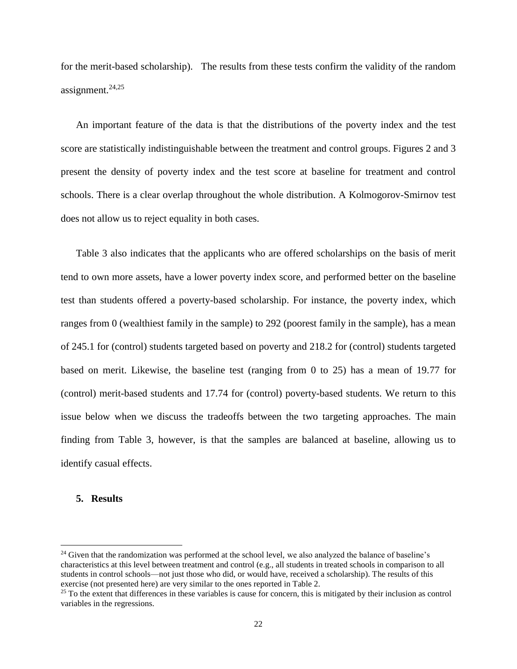for the merit-based scholarship). The results from these tests confirm the validity of the random assignment. 24,25

An important feature of the data is that the distributions of the poverty index and the test score are statistically indistinguishable between the treatment and control groups. Figures 2 and 3 present the density of poverty index and the test score at baseline for treatment and control schools. There is a clear overlap throughout the whole distribution. A Kolmogorov-Smirnov test does not allow us to reject equality in both cases.

Table 3 also indicates that the applicants who are offered scholarships on the basis of merit tend to own more assets, have a lower poverty index score, and performed better on the baseline test than students offered a poverty-based scholarship. For instance, the poverty index, which ranges from 0 (wealthiest family in the sample) to 292 (poorest family in the sample), has a mean of 245.1 for (control) students targeted based on poverty and 218.2 for (control) students targeted based on merit. Likewise, the baseline test (ranging from 0 to 25) has a mean of 19.77 for (control) merit-based students and 17.74 for (control) poverty-based students. We return to this issue below when we discuss the tradeoffs between the two targeting approaches. The main finding from Table 3, however, is that the samples are balanced at baseline, allowing us to identify casual effects.

# **5. Results**

<sup>&</sup>lt;sup>24</sup> Given that the randomization was performed at the school level, we also analyzed the balance of baseline's characteristics at this level between treatment and control (e.g., all students in treated schools in comparison to all students in control schools—not just those who did, or would have, received a scholarship). The results of this exercise (not presented here) are very similar to the ones reported in Table 2.

 $25$  To the extent that differences in these variables is cause for concern, this is mitigated by their inclusion as control variables in the regressions.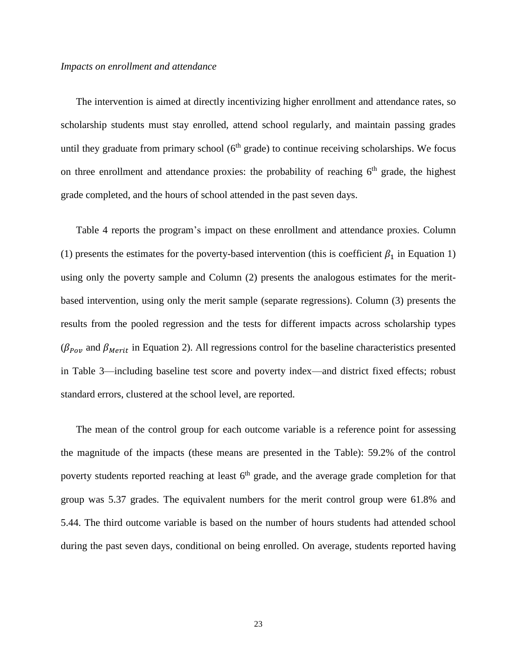### *Impacts on enrollment and attendance*

The intervention is aimed at directly incentivizing higher enrollment and attendance rates, so scholarship students must stay enrolled, attend school regularly, and maintain passing grades until they graduate from primary school  $(6<sup>th</sup>$  grade) to continue receiving scholarships. We focus on three enrollment and attendance proxies: the probability of reaching  $6<sup>th</sup>$  grade, the highest grade completed, and the hours of school attended in the past seven days.

Table 4 reports the program's impact on these enrollment and attendance proxies. Column (1) presents the estimates for the poverty-based intervention (this is coefficient  $\beta_1$  in Equation 1) using only the poverty sample and Column (2) presents the analogous estimates for the meritbased intervention, using only the merit sample (separate regressions). Column (3) presents the results from the pooled regression and the tests for different impacts across scholarship types ( $\beta_{\text{Pov}}$  and  $\beta_{\text{Merit}}$  in Equation 2). All regressions control for the baseline characteristics presented in Table 3—including baseline test score and poverty index—and district fixed effects; robust standard errors, clustered at the school level, are reported.

The mean of the control group for each outcome variable is a reference point for assessing the magnitude of the impacts (these means are presented in the Table): 59.2% of the control poverty students reported reaching at least 6<sup>th</sup> grade, and the average grade completion for that group was 5.37 grades. The equivalent numbers for the merit control group were 61.8% and 5.44. The third outcome variable is based on the number of hours students had attended school during the past seven days, conditional on being enrolled. On average, students reported having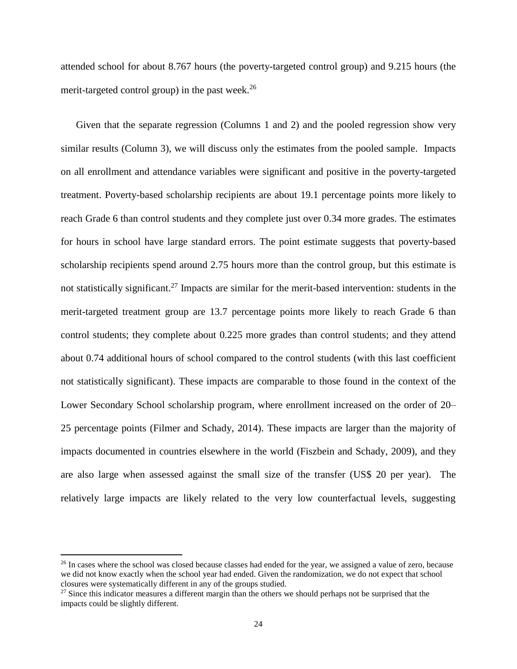attended school for about 8.767 hours (the poverty-targeted control group) and 9.215 hours (the merit-targeted control group) in the past week. $26$ 

Given that the separate regression (Columns 1 and 2) and the pooled regression show very similar results (Column 3), we will discuss only the estimates from the pooled sample. Impacts on all enrollment and attendance variables were significant and positive in the poverty-targeted treatment. Poverty-based scholarship recipients are about 19.1 percentage points more likely to reach Grade 6 than control students and they complete just over 0.34 more grades. The estimates for hours in school have large standard errors. The point estimate suggests that poverty-based scholarship recipients spend around 2.75 hours more than the control group, but this estimate is not statistically significant.<sup>27</sup> Impacts are similar for the merit-based intervention: students in the merit-targeted treatment group are 13.7 percentage points more likely to reach Grade 6 than control students; they complete about 0.225 more grades than control students; and they attend about 0.74 additional hours of school compared to the control students (with this last coefficient not statistically significant). These impacts are comparable to those found in the context of the Lower Secondary School scholarship program, where enrollment increased on the order of 20– 25 percentage points (Filmer and Schady, 2014). These impacts are larger than the majority of impacts documented in countries elsewhere in the world (Fiszbein and Schady, 2009), and they are also large when assessed against the small size of the transfer (US\$ 20 per year). The relatively large impacts are likely related to the very low counterfactual levels, suggesting

<sup>&</sup>lt;sup>26</sup> In cases where the school was closed because classes had ended for the year, we assigned a value of zero, because we did not know exactly when the school year had ended. Given the randomization, we do not expect that school closures were systematically different in any of the groups studied.

 $27$  Since this indicator measures a different margin than the others we should perhaps not be surprised that the impacts could be slightly different.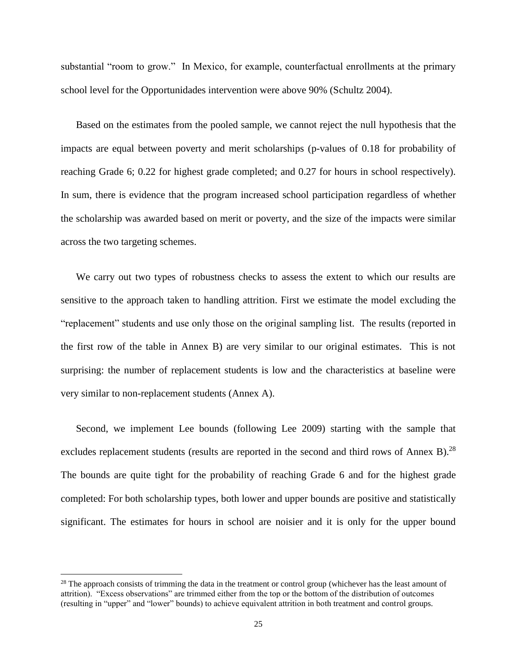substantial "room to grow." In Mexico, for example, counterfactual enrollments at the primary school level for the Opportunidades intervention were above 90% (Schultz 2004).

Based on the estimates from the pooled sample, we cannot reject the null hypothesis that the impacts are equal between poverty and merit scholarships (p-values of 0.18 for probability of reaching Grade 6; 0.22 for highest grade completed; and 0.27 for hours in school respectively). In sum, there is evidence that the program increased school participation regardless of whether the scholarship was awarded based on merit or poverty, and the size of the impacts were similar across the two targeting schemes.

We carry out two types of robustness checks to assess the extent to which our results are sensitive to the approach taken to handling attrition. First we estimate the model excluding the "replacement" students and use only those on the original sampling list. The results (reported in the first row of the table in Annex B) are very similar to our original estimates. This is not surprising: the number of replacement students is low and the characteristics at baseline were very similar to non-replacement students (Annex A).

Second, we implement Lee bounds (following Lee 2009) starting with the sample that excludes replacement students (results are reported in the second and third rows of Annex B).<sup>28</sup> The bounds are quite tight for the probability of reaching Grade 6 and for the highest grade completed: For both scholarship types, both lower and upper bounds are positive and statistically significant. The estimates for hours in school are noisier and it is only for the upper bound

<sup>&</sup>lt;sup>28</sup> The approach consists of trimming the data in the treatment or control group (whichever has the least amount of attrition). "Excess observations" are trimmed either from the top or the bottom of the distribution of outcomes (resulting in "upper" and "lower" bounds) to achieve equivalent attrition in both treatment and control groups.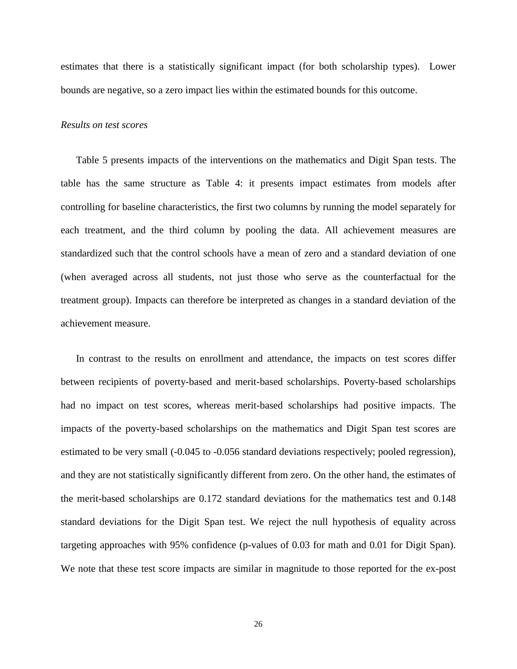estimates that there is a statistically significant impact (for both scholarship types). Lower bounds are negative, so a zero impact lies within the estimated bounds for this outcome.

#### *Results on test scores*

Table 5 presents impacts of the interventions on the mathematics and Digit Span tests. The table has the same structure as Table 4: it presents impact estimates from models after controlling for baseline characteristics, the first two columns by running the model separately for each treatment, and the third column by pooling the data. All achievement measures are standardized such that the control schools have a mean of zero and a standard deviation of one (when averaged across all students, not just those who serve as the counterfactual for the treatment group). Impacts can therefore be interpreted as changes in a standard deviation of the achievement measure.

In contrast to the results on enrollment and attendance, the impacts on test scores differ between recipients of poverty-based and merit-based scholarships. Poverty-based scholarships had no impact on test scores, whereas merit-based scholarships had positive impacts. The impacts of the poverty-based scholarships on the mathematics and Digit Span test scores are estimated to be very small (-0.045 to -0.056 standard deviations respectively; pooled regression), and they are not statistically significantly different from zero. On the other hand, the estimates of the merit-based scholarships are 0.172 standard deviations for the mathematics test and 0.148 standard deviations for the Digit Span test. We reject the null hypothesis of equality across targeting approaches with 95% confidence (p-values of 0.03 for math and 0.01 for Digit Span). We note that these test score impacts are similar in magnitude to those reported for the ex-post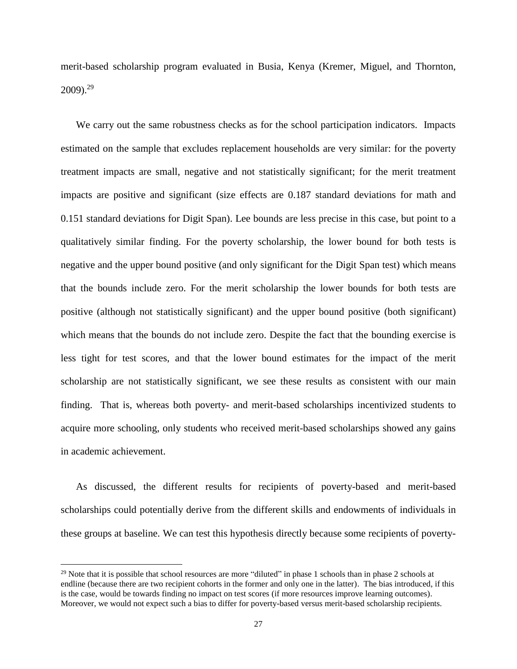merit-based scholarship program evaluated in Busia, Kenya (Kremer, Miguel, and Thornton,  $2009$ <sup>29</sup>

We carry out the same robustness checks as for the school participation indicators. Impacts estimated on the sample that excludes replacement households are very similar: for the poverty treatment impacts are small, negative and not statistically significant; for the merit treatment impacts are positive and significant (size effects are 0.187 standard deviations for math and 0.151 standard deviations for Digit Span). Lee bounds are less precise in this case, but point to a qualitatively similar finding. For the poverty scholarship, the lower bound for both tests is negative and the upper bound positive (and only significant for the Digit Span test) which means that the bounds include zero. For the merit scholarship the lower bounds for both tests are positive (although not statistically significant) and the upper bound positive (both significant) which means that the bounds do not include zero. Despite the fact that the bounding exercise is less tight for test scores, and that the lower bound estimates for the impact of the merit scholarship are not statistically significant, we see these results as consistent with our main finding. That is, whereas both poverty- and merit-based scholarships incentivized students to acquire more schooling, only students who received merit-based scholarships showed any gains in academic achievement.

As discussed, the different results for recipients of poverty-based and merit-based scholarships could potentially derive from the different skills and endowments of individuals in these groups at baseline. We can test this hypothesis directly because some recipients of poverty-

 $29$  Note that it is possible that school resources are more "diluted" in phase 1 schools than in phase 2 schools at endline (because there are two recipient cohorts in the former and only one in the latter). The bias introduced, if this is the case, would be towards finding no impact on test scores (if more resources improve learning outcomes). Moreover, we would not expect such a bias to differ for poverty-based versus merit-based scholarship recipients.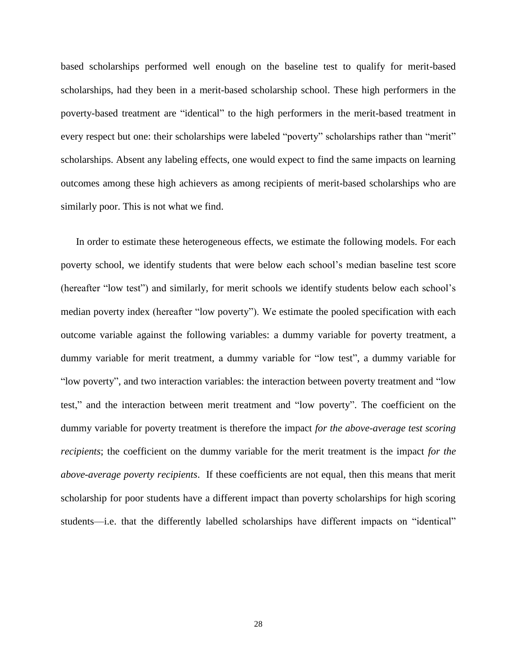based scholarships performed well enough on the baseline test to qualify for merit-based scholarships, had they been in a merit-based scholarship school. These high performers in the poverty-based treatment are "identical" to the high performers in the merit-based treatment in every respect but one: their scholarships were labeled "poverty" scholarships rather than "merit" scholarships. Absent any labeling effects, one would expect to find the same impacts on learning outcomes among these high achievers as among recipients of merit-based scholarships who are similarly poor. This is not what we find.

In order to estimate these heterogeneous effects, we estimate the following models. For each poverty school, we identify students that were below each school's median baseline test score (hereafter "low test") and similarly, for merit schools we identify students below each school's median poverty index (hereafter "low poverty"). We estimate the pooled specification with each outcome variable against the following variables: a dummy variable for poverty treatment, a dummy variable for merit treatment, a dummy variable for "low test", a dummy variable for "low poverty", and two interaction variables: the interaction between poverty treatment and "low test," and the interaction between merit treatment and "low poverty". The coefficient on the dummy variable for poverty treatment is therefore the impact *for the above-average test scoring recipients*; the coefficient on the dummy variable for the merit treatment is the impact *for the above-average poverty recipients*. If these coefficients are not equal, then this means that merit scholarship for poor students have a different impact than poverty scholarships for high scoring students—i.e. that the differently labelled scholarships have different impacts on "identical"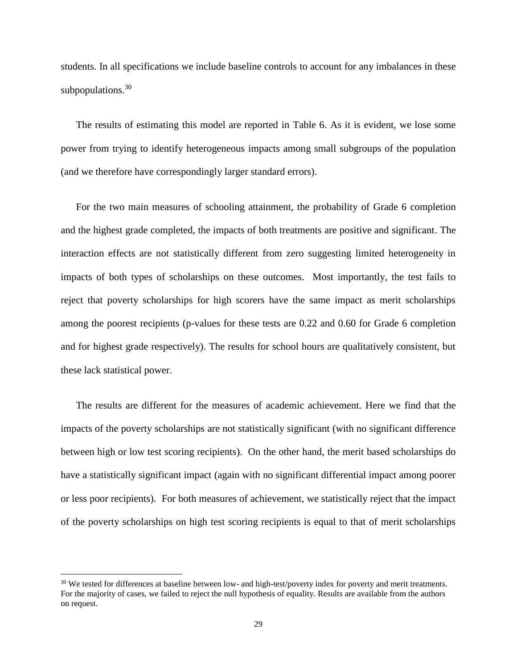students. In all specifications we include baseline controls to account for any imbalances in these subpopulations. $30$ 

The results of estimating this model are reported in Table 6. As it is evident, we lose some power from trying to identify heterogeneous impacts among small subgroups of the population (and we therefore have correspondingly larger standard errors).

For the two main measures of schooling attainment, the probability of Grade 6 completion and the highest grade completed, the impacts of both treatments are positive and significant. The interaction effects are not statistically different from zero suggesting limited heterogeneity in impacts of both types of scholarships on these outcomes. Most importantly, the test fails to reject that poverty scholarships for high scorers have the same impact as merit scholarships among the poorest recipients (p-values for these tests are 0.22 and 0.60 for Grade 6 completion and for highest grade respectively). The results for school hours are qualitatively consistent, but these lack statistical power.

The results are different for the measures of academic achievement. Here we find that the impacts of the poverty scholarships are not statistically significant (with no significant difference between high or low test scoring recipients). On the other hand, the merit based scholarships do have a statistically significant impact (again with no significant differential impact among poorer or less poor recipients). For both measures of achievement, we statistically reject that the impact of the poverty scholarships on high test scoring recipients is equal to that of merit scholarships

<sup>&</sup>lt;sup>30</sup> We tested for differences at baseline between low- and high-test/poverty index for poverty and merit treatments. For the majority of cases, we failed to reject the null hypothesis of equality. Results are available from the authors on request.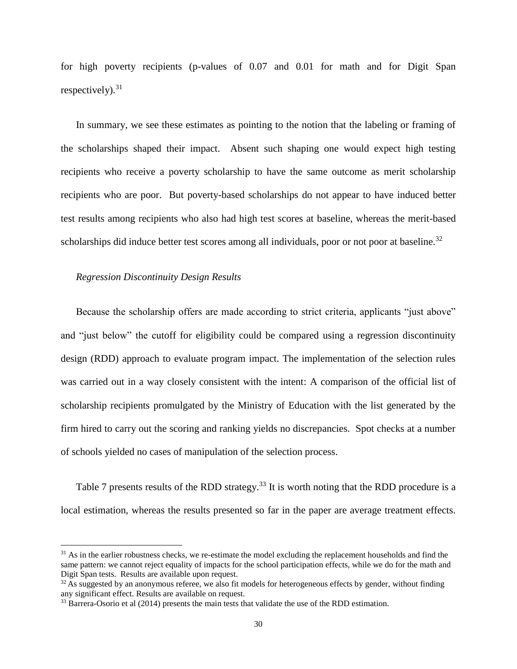for high poverty recipients (p-values of 0.07 and 0.01 for math and for Digit Span respectively). $31$ 

In summary, we see these estimates as pointing to the notion that the labeling or framing of the scholarships shaped their impact. Absent such shaping one would expect high testing recipients who receive a poverty scholarship to have the same outcome as merit scholarship recipients who are poor. But poverty-based scholarships do not appear to have induced better test results among recipients who also had high test scores at baseline, whereas the merit-based scholarships did induce better test scores among all individuals, poor or not poor at baseline.<sup>32</sup>

## *Regression Discontinuity Design Results*

 $\overline{a}$ 

Because the scholarship offers are made according to strict criteria, applicants "just above" and "just below" the cutoff for eligibility could be compared using a regression discontinuity design (RDD) approach to evaluate program impact. The implementation of the selection rules was carried out in a way closely consistent with the intent: A comparison of the official list of scholarship recipients promulgated by the Ministry of Education with the list generated by the firm hired to carry out the scoring and ranking yields no discrepancies. Spot checks at a number of schools yielded no cases of manipulation of the selection process.

Table 7 presents results of the RDD strategy.<sup>33</sup> It is worth noting that the RDD procedure is a local estimation, whereas the results presented so far in the paper are average treatment effects.

 $31$  As in the earlier robustness checks, we re-estimate the model excluding the replacement households and find the same pattern: we cannot reject equality of impacts for the school participation effects, while we do for the math and Digit Span tests. Results are available upon request.

 $32$  As suggested by an anonymous referee, we also fit models for heterogeneous effects by gender, without finding any significant effect. Results are available on request.

<sup>&</sup>lt;sup>33</sup> Barrera-Osorio et al (2014) presents the main tests that validate the use of the RDD estimation.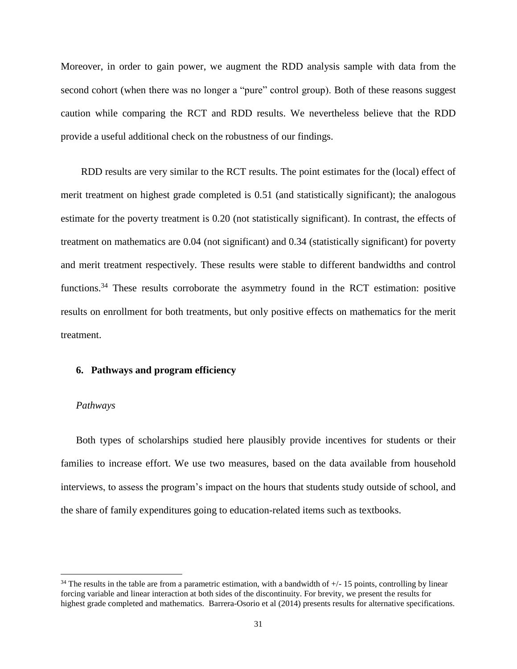Moreover, in order to gain power, we augment the RDD analysis sample with data from the second cohort (when there was no longer a "pure" control group). Both of these reasons suggest caution while comparing the RCT and RDD results. We nevertheless believe that the RDD provide a useful additional check on the robustness of our findings.

RDD results are very similar to the RCT results. The point estimates for the (local) effect of merit treatment on highest grade completed is 0.51 (and statistically significant); the analogous estimate for the poverty treatment is 0.20 (not statistically significant). In contrast, the effects of treatment on mathematics are 0.04 (not significant) and 0.34 (statistically significant) for poverty and merit treatment respectively. These results were stable to different bandwidths and control functions.<sup>34</sup> These results corroborate the asymmetry found in the RCT estimation: positive results on enrollment for both treatments, but only positive effects on mathematics for the merit treatment.

## **6. Pathways and program efficiency**

#### *Pathways*

 $\overline{a}$ 

Both types of scholarships studied here plausibly provide incentives for students or their families to increase effort. We use two measures, based on the data available from household interviews, to assess the program's impact on the hours that students study outside of school, and the share of family expenditures going to education-related items such as textbooks.

 $34$  The results in the table are from a parametric estimation, with a bandwidth of  $+/-15$  points, controlling by linear forcing variable and linear interaction at both sides of the discontinuity. For brevity, we present the results for highest grade completed and mathematics. Barrera-Osorio et al (2014) presents results for alternative specifications.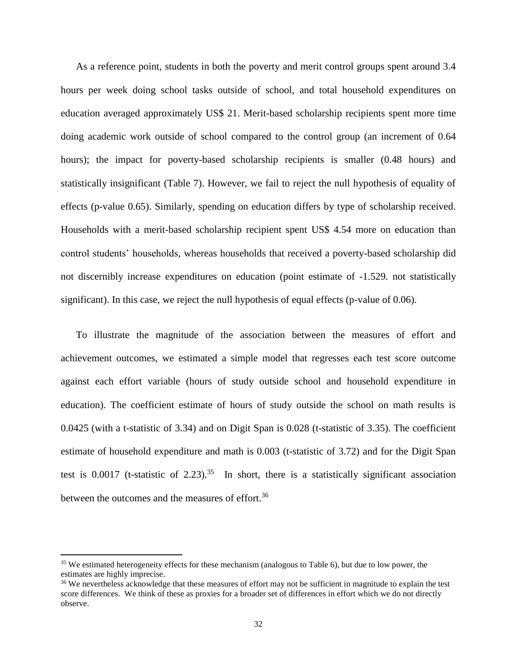As a reference point, students in both the poverty and merit control groups spent around 3.4 hours per week doing school tasks outside of school, and total household expenditures on education averaged approximately US\$ 21. Merit-based scholarship recipients spent more time doing academic work outside of school compared to the control group (an increment of 0.64 hours); the impact for poverty-based scholarship recipients is smaller  $(0.48$  hours) and statistically insignificant (Table 7). However, we fail to reject the null hypothesis of equality of effects (p-value 0.65). Similarly, spending on education differs by type of scholarship received. Households with a merit-based scholarship recipient spent US\$ 4.54 more on education than control students' households, whereas households that received a poverty-based scholarship did not discernibly increase expenditures on education (point estimate of -1.529. not statistically significant). In this case, we reject the null hypothesis of equal effects (p-value of 0.06).

To illustrate the magnitude of the association between the measures of effort and achievement outcomes, we estimated a simple model that regresses each test score outcome against each effort variable (hours of study outside school and household expenditure in education). The coefficient estimate of hours of study outside the school on math results is 0.0425 (with a t-statistic of 3.34) and on Digit Span is 0.028 (t-statistic of 3.35). The coefficient estimate of household expenditure and math is 0.003 (t-statistic of 3.72) and for the Digit Span test is 0.0017 (t-statistic of 2.23).<sup>35</sup> In short, there is a statistically significant association between the outcomes and the measures of effort.<sup>36</sup>

<sup>&</sup>lt;sup>35</sup> We estimated heterogeneity effects for these mechanism (analogous to Table 6), but due to low power, the estimates are highly imprecise.

<sup>&</sup>lt;sup>36</sup> We nevertheless acknowledge that these measures of effort may not be sufficient in magnitude to explain the test score differences. We think of these as proxies for a broader set of differences in effort which we do not directly observe.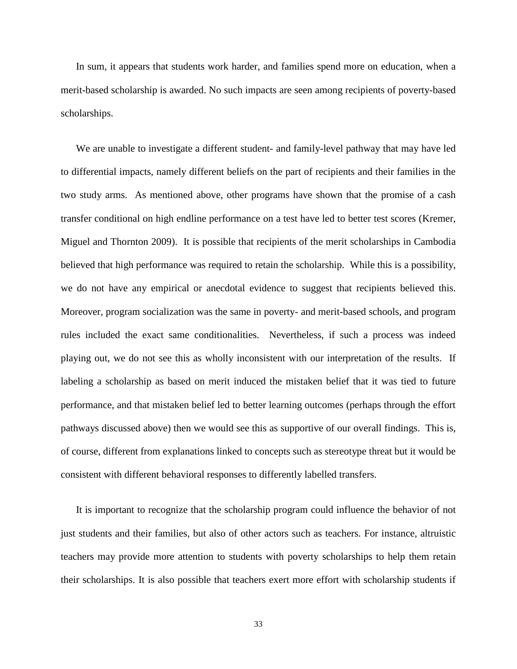In sum, it appears that students work harder, and families spend more on education, when a merit-based scholarship is awarded. No such impacts are seen among recipients of poverty-based scholarships.

We are unable to investigate a different student- and family-level pathway that may have led to differential impacts, namely different beliefs on the part of recipients and their families in the two study arms. As mentioned above, other programs have shown that the promise of a cash transfer conditional on high endline performance on a test have led to better test scores (Kremer, Miguel and Thornton 2009). It is possible that recipients of the merit scholarships in Cambodia believed that high performance was required to retain the scholarship. While this is a possibility, we do not have any empirical or anecdotal evidence to suggest that recipients believed this. Moreover, program socialization was the same in poverty- and merit-based schools, and program rules included the exact same conditionalities. Nevertheless, if such a process was indeed playing out, we do not see this as wholly inconsistent with our interpretation of the results. If labeling a scholarship as based on merit induced the mistaken belief that it was tied to future performance, and that mistaken belief led to better learning outcomes (perhaps through the effort pathways discussed above) then we would see this as supportive of our overall findings. This is, of course, different from explanations linked to concepts such as stereotype threat but it would be consistent with different behavioral responses to differently labelled transfers.

It is important to recognize that the scholarship program could influence the behavior of not just students and their families, but also of other actors such as teachers. For instance, altruistic teachers may provide more attention to students with poverty scholarships to help them retain their scholarships. It is also possible that teachers exert more effort with scholarship students if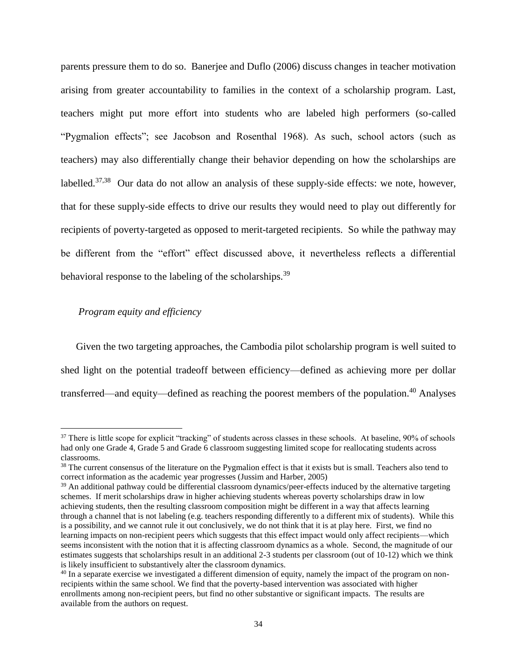parents pressure them to do so. Banerjee and Duflo (2006) discuss changes in teacher motivation arising from greater accountability to families in the context of a scholarship program. Last, teachers might put more effort into students who are labeled high performers (so-called "Pygmalion effects"; see Jacobson and Rosenthal 1968). As such, school actors (such as teachers) may also differentially change their behavior depending on how the scholarships are labelled.<sup>37,38</sup> Our data do not allow an analysis of these supply-side effects: we note, however, that for these supply-side effects to drive our results they would need to play out differently for recipients of poverty-targeted as opposed to merit-targeted recipients. So while the pathway may be different from the "effort" effect discussed above, it nevertheless reflects a differential behavioral response to the labeling of the scholarships.<sup>39</sup>

# *Program equity and efficiency*

 $\overline{a}$ 

Given the two targeting approaches, the Cambodia pilot scholarship program is well suited to shed light on the potential tradeoff between efficiency—defined as achieving more per dollar transferred—and equity—defined as reaching the poorest members of the population. <sup>40</sup> Analyses

<sup>&</sup>lt;sup>37</sup> There is little scope for explicit "tracking" of students across classes in these schools. At baseline, 90% of schools had only one Grade 4, Grade 5 and Grade 6 classroom suggesting limited scope for reallocating students across classrooms.

<sup>&</sup>lt;sup>38</sup> The current consensus of the literature on the Pygmalion effect is that it exists but is small. Teachers also tend to correct information as the academic year progresses (Jussim and Harber, 2005)

<sup>&</sup>lt;sup>39</sup> An additional pathway could be differential classroom dynamics/peer-effects induced by the alternative targeting schemes. If merit scholarships draw in higher achieving students whereas poverty scholarships draw in low achieving students, then the resulting classroom composition might be different in a way that affects learning through a channel that is not labeling (e.g. teachers responding differently to a different mix of students). While this is a possibility, and we cannot rule it out conclusively, we do not think that it is at play here. First, we find no learning impacts on non-recipient peers which suggests that this effect impact would only affect recipients—which seems inconsistent with the notion that it is affecting classroom dynamics as a whole. Second, the magnitude of our estimates suggests that scholarships result in an additional 2-3 students per classroom (out of 10-12) which we think is likely insufficient to substantively alter the classroom dynamics.

 $40$  In a separate exercise we investigated a different dimension of equity, namely the impact of the program on nonrecipients within the same school. We find that the poverty-based intervention was associated with higher enrollments among non-recipient peers, but find no other substantive or significant impacts. The results are available from the authors on request.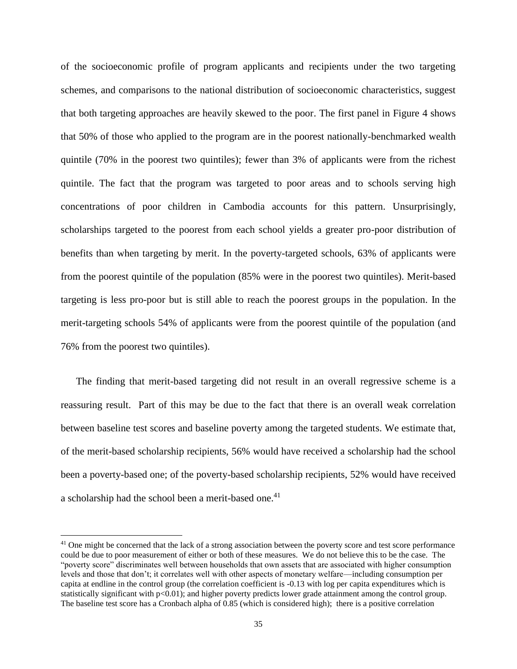of the socioeconomic profile of program applicants and recipients under the two targeting schemes, and comparisons to the national distribution of socioeconomic characteristics, suggest that both targeting approaches are heavily skewed to the poor. The first panel in Figure 4 shows that 50% of those who applied to the program are in the poorest nationally-benchmarked wealth quintile (70% in the poorest two quintiles); fewer than 3% of applicants were from the richest quintile. The fact that the program was targeted to poor areas and to schools serving high concentrations of poor children in Cambodia accounts for this pattern. Unsurprisingly, scholarships targeted to the poorest from each school yields a greater pro-poor distribution of benefits than when targeting by merit. In the poverty-targeted schools, 63% of applicants were from the poorest quintile of the population (85% were in the poorest two quintiles). Merit-based targeting is less pro-poor but is still able to reach the poorest groups in the population. In the merit-targeting schools 54% of applicants were from the poorest quintile of the population (and 76% from the poorest two quintiles).

The finding that merit-based targeting did not result in an overall regressive scheme is a reassuring result. Part of this may be due to the fact that there is an overall weak correlation between baseline test scores and baseline poverty among the targeted students. We estimate that, of the merit-based scholarship recipients, 56% would have received a scholarship had the school been a poverty-based one; of the poverty-based scholarship recipients, 52% would have received a scholarship had the school been a merit-based one.<sup>41</sup>

<sup>&</sup>lt;sup>41</sup> One might be concerned that the lack of a strong association between the poverty score and test score performance could be due to poor measurement of either or both of these measures. We do not believe this to be the case. The "poverty score" discriminates well between households that own assets that are associated with higher consumption levels and those that don't; it correlates well with other aspects of monetary welfare—including consumption per capita at endline in the control group (the correlation coefficient is -0.13 with log per capita expenditures which is statistically significant with p<0.01); and higher poverty predicts lower grade attainment among the control group. The baseline test score has a Cronbach alpha of 0.85 (which is considered high); there is a positive correlation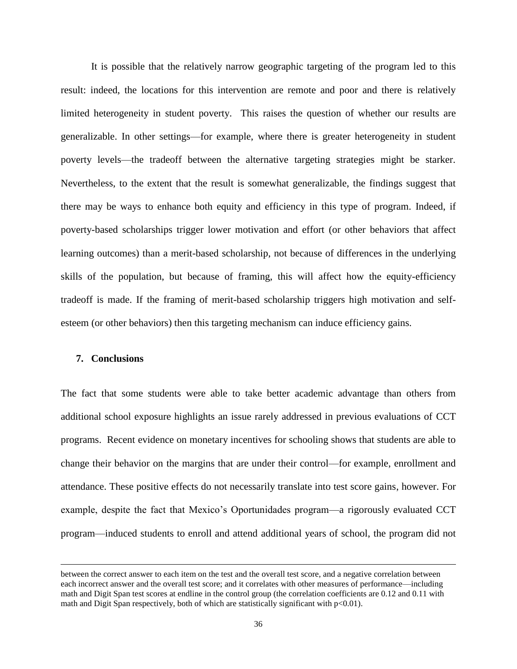It is possible that the relatively narrow geographic targeting of the program led to this result: indeed, the locations for this intervention are remote and poor and there is relatively limited heterogeneity in student poverty. This raises the question of whether our results are generalizable. In other settings—for example, where there is greater heterogeneity in student poverty levels—the tradeoff between the alternative targeting strategies might be starker. Nevertheless, to the extent that the result is somewhat generalizable, the findings suggest that there may be ways to enhance both equity and efficiency in this type of program. Indeed, if poverty-based scholarships trigger lower motivation and effort (or other behaviors that affect learning outcomes) than a merit-based scholarship, not because of differences in the underlying skills of the population, but because of framing, this will affect how the equity-efficiency tradeoff is made. If the framing of merit-based scholarship triggers high motivation and selfesteem (or other behaviors) then this targeting mechanism can induce efficiency gains.

## **7. Conclusions**

 $\overline{a}$ 

The fact that some students were able to take better academic advantage than others from additional school exposure highlights an issue rarely addressed in previous evaluations of CCT programs. Recent evidence on monetary incentives for schooling shows that students are able to change their behavior on the margins that are under their control—for example, enrollment and attendance. These positive effects do not necessarily translate into test score gains, however. For example, despite the fact that Mexico's Oportunidades program—a rigorously evaluated CCT program—induced students to enroll and attend additional years of school, the program did not

between the correct answer to each item on the test and the overall test score, and a negative correlation between each incorrect answer and the overall test score; and it correlates with other measures of performance—including math and Digit Span test scores at endline in the control group (the correlation coefficients are 0.12 and 0.11 with math and Digit Span respectively, both of which are statistically significant with p<0.01).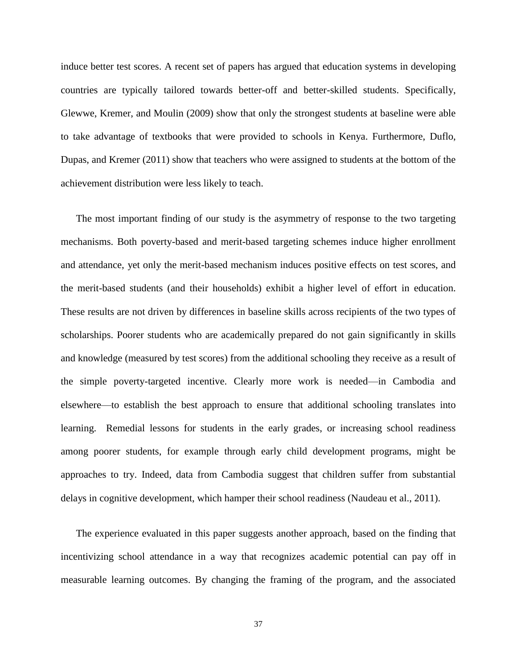induce better test scores. A recent set of papers has argued that education systems in developing countries are typically tailored towards better-off and better-skilled students. Specifically, Glewwe, Kremer, and Moulin (2009) show that only the strongest students at baseline were able to take advantage of textbooks that were provided to schools in Kenya. Furthermore, Duflo, Dupas, and Kremer (2011) show that teachers who were assigned to students at the bottom of the achievement distribution were less likely to teach.

The most important finding of our study is the asymmetry of response to the two targeting mechanisms. Both poverty-based and merit-based targeting schemes induce higher enrollment and attendance, yet only the merit-based mechanism induces positive effects on test scores, and the merit-based students (and their households) exhibit a higher level of effort in education. These results are not driven by differences in baseline skills across recipients of the two types of scholarships. Poorer students who are academically prepared do not gain significantly in skills and knowledge (measured by test scores) from the additional schooling they receive as a result of the simple poverty-targeted incentive. Clearly more work is needed—in Cambodia and elsewhere—to establish the best approach to ensure that additional schooling translates into learning. Remedial lessons for students in the early grades, or increasing school readiness among poorer students, for example through early child development programs, might be approaches to try. Indeed, data from Cambodia suggest that children suffer from substantial delays in cognitive development, which hamper their school readiness (Naudeau et al., 2011).

The experience evaluated in this paper suggests another approach, based on the finding that incentivizing school attendance in a way that recognizes academic potential can pay off in measurable learning outcomes. By changing the framing of the program, and the associated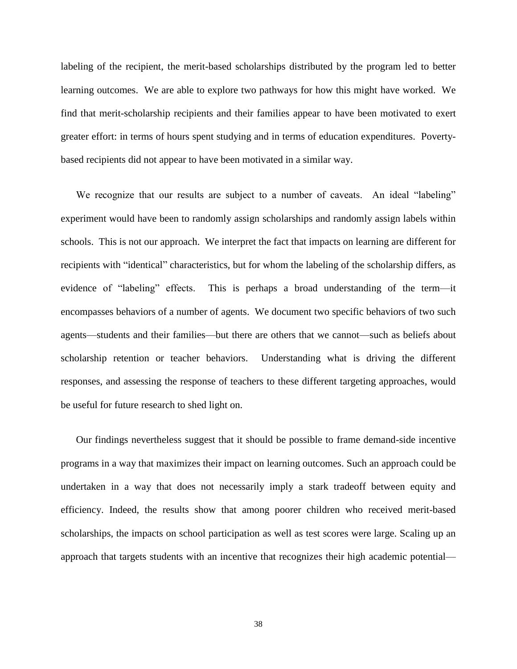labeling of the recipient, the merit-based scholarships distributed by the program led to better learning outcomes. We are able to explore two pathways for how this might have worked. We find that merit-scholarship recipients and their families appear to have been motivated to exert greater effort: in terms of hours spent studying and in terms of education expenditures. Povertybased recipients did not appear to have been motivated in a similar way.

We recognize that our results are subject to a number of caveats. An ideal "labeling" experiment would have been to randomly assign scholarships and randomly assign labels within schools. This is not our approach. We interpret the fact that impacts on learning are different for recipients with "identical" characteristics, but for whom the labeling of the scholarship differs, as evidence of "labeling" effects. This is perhaps a broad understanding of the term—it encompasses behaviors of a number of agents. We document two specific behaviors of two such agents—students and their families—but there are others that we cannot—such as beliefs about scholarship retention or teacher behaviors. Understanding what is driving the different responses, and assessing the response of teachers to these different targeting approaches, would be useful for future research to shed light on.

Our findings nevertheless suggest that it should be possible to frame demand-side incentive programs in a way that maximizes their impact on learning outcomes. Such an approach could be undertaken in a way that does not necessarily imply a stark tradeoff between equity and efficiency. Indeed, the results show that among poorer children who received merit-based scholarships, the impacts on school participation as well as test scores were large. Scaling up an approach that targets students with an incentive that recognizes their high academic potential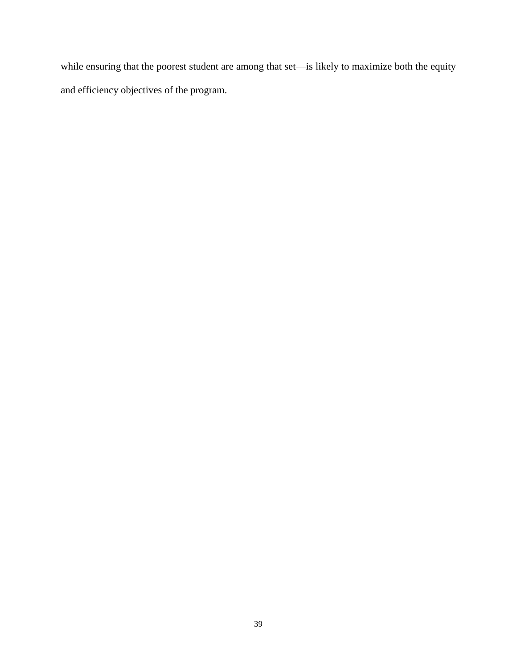while ensuring that the poorest student are among that set—is likely to maximize both the equity and efficiency objectives of the program.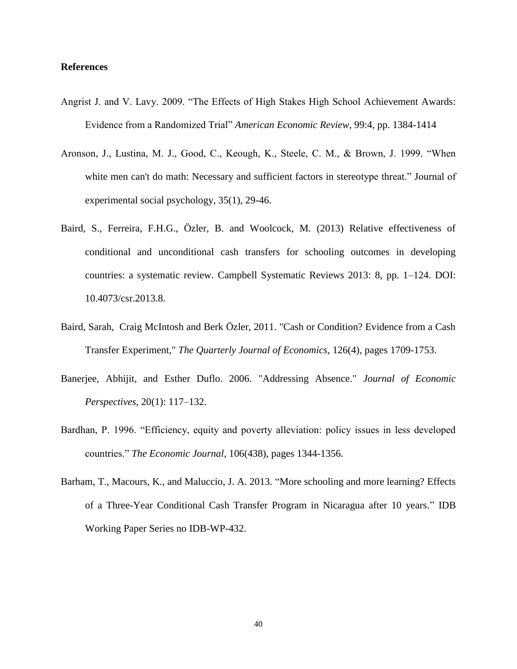## **References**

- Angrist J. and V. Lavy. 2009. "The Effects of High Stakes High School Achievement Awards: Evidence from a Randomized Trial" *American Economic Review*, 99:4, pp. 1384-1414
- Aronson, J., Lustina, M. J., Good, C., Keough, K., Steele, C. M., & Brown, J. 1999. "When white men can't do math: Necessary and sufficient factors in stereotype threat." Journal of experimental social psychology, 35(1), 29-46.
- Baird, S., Ferreira, F.H.G., Özler, B. and Woolcock, M. (2013) Relative effectiveness of conditional and unconditional cash transfers for schooling outcomes in developing countries: a systematic review. Campbell Systematic Reviews 2013: 8, pp. 1–124. DOI: 10.4073/csr.2013.8.
- Baird, Sarah, Craig McIntosh and Berk Özler, 2011. "Cash or Condition? Evidence from a Cash Transfer Experiment," *The Quarterly Journal of Economics*, 126(4), pages 1709-1753.
- Banerjee, Abhijit, and Esther Duflo. 2006. "Addressing Absence." *Journal of Economic Perspectives*, 20(1): 117–132.
- Bardhan, P. 1996. "Efficiency, equity and poverty alleviation: policy issues in less developed countries." *The Economic Journal*, 106(438), pages 1344-1356.
- Barham, T., Macours, K., and Maluccio, J. A. 2013. "More schooling and more learning? Effects of a Three-Year Conditional Cash Transfer Program in Nicaragua after 10 years." IDB Working Paper Series no IDB-WP-432.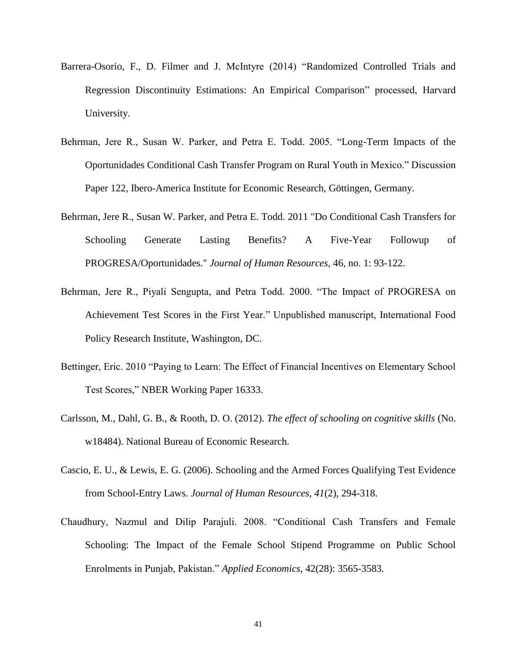- Barrera-Osorio, F., D. Filmer and J. McIntyre (2014) "Randomized Controlled Trials and Regression Discontinuity Estimations: An Empirical Comparison" processed, Harvard University.
- Behrman, Jere R., Susan W. Parker, and Petra E. Todd. 2005. "Long-Term Impacts of the Oportunidades Conditional Cash Transfer Program on Rural Youth in Mexico." Discussion Paper 122, Ibero-America Institute for Economic Research, Göttingen, Germany.
- Behrman, Jere R., Susan W. Parker, and Petra E. Todd. 2011 "Do Conditional Cash Transfers for Schooling Generate Lasting Benefits? A Five-Year Followup of PROGRESA/Oportunidades." *Journal of Human Resources*, 46, no. 1: 93-122.
- Behrman, Jere R., Piyali Sengupta, and Petra Todd. 2000. "The Impact of PROGRESA on Achievement Test Scores in the First Year." Unpublished manuscript, International Food Policy Research Institute, Washington, DC.
- Bettinger, Eric. 2010 "Paying to Learn: The Effect of Financial Incentives on Elementary School Test Scores," NBER Working Paper 16333.
- Carlsson, M., Dahl, G. B., & Rooth, D. O. (2012). *The effect of schooling on cognitive skills* (No. w18484). National Bureau of Economic Research.
- Cascio, E. U., & Lewis, E. G. (2006). Schooling and the Armed Forces Qualifying Test Evidence from School-Entry Laws. *Journal of Human Resources*, *41*(2), 294-318.
- Chaudhury, Nazmul and Dilip Parajuli. 2008. "Conditional Cash Transfers and Female Schooling: The Impact of the Female School Stipend Programme on Public School Enrolments in Punjab, Pakistan." *Applied Economics*, 42(28): 3565-3583*.*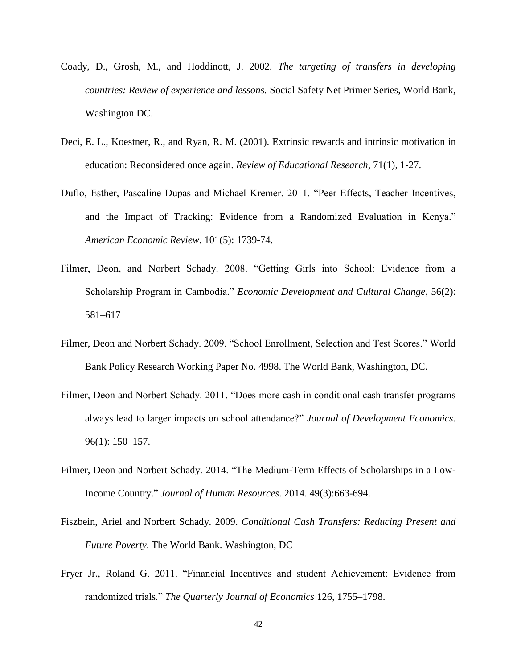- Coady, D., Grosh, M., and Hoddinott, J. 2002. *The targeting of transfers in developing countries: Review of experience and lessons.* Social Safety Net Primer Series, World Bank, Washington DC.
- Deci, E. L., Koestner, R., and Ryan, R. M. (2001). Extrinsic rewards and intrinsic motivation in education: Reconsidered once again. *Review of Educational Research*, 71(1), 1-27.
- Duflo, Esther, Pascaline Dupas and Michael Kremer. 2011. "Peer Effects, Teacher Incentives, and the Impact of Tracking: Evidence from a Randomized Evaluation in Kenya." *American Economic Review*. 101(5): 1739-74.
- Filmer, Deon, and Norbert Schady. 2008. "Getting Girls into School: Evidence from a Scholarship Program in Cambodia." *Economic Development and Cultural Change*, 56(2): 581–617
- Filmer, Deon and Norbert Schady. 2009. "School Enrollment, Selection and Test Scores." World Bank Policy Research Working Paper No. 4998. The World Bank, Washington, DC.
- Filmer, Deon and Norbert Schady. 2011. "Does more cash in conditional cash transfer programs always lead to larger impacts on school attendance?" *Journal of Development Economics*. 96(1): 150–157.
- Filmer, Deon and Norbert Schady. 2014. "The Medium-Term Effects of Scholarships in a Low-Income Country." *Journal of Human Resources*. 2014. 49(3):663-694.
- Fiszbein, Ariel and Norbert Schady. 2009. *Conditional Cash Transfers: Reducing Present and Future Poverty*. The World Bank. Washington, DC
- Fryer Jr., Roland G. 2011. "Financial Incentives and student Achievement: Evidence from randomized trials." *The Quarterly Journal of Economics* 126, 1755–1798.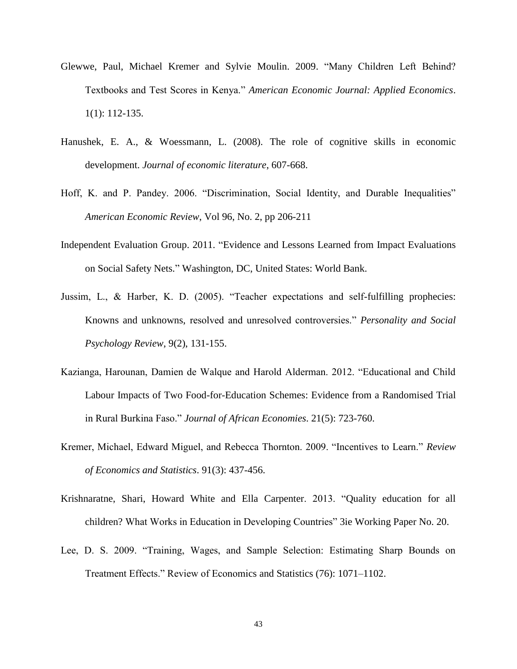- Glewwe, Paul, Michael Kremer and Sylvie Moulin. 2009. "Many Children Left Behind? Textbooks and Test Scores in Kenya." *American Economic Journal: Applied Economics*. 1(1): 112-135.
- Hanushek, E. A., & Woessmann, L. (2008). The role of cognitive skills in economic development. *Journal of economic literature*, 607-668.
- Hoff, K. and P. Pandey. 2006. "Discrimination, Social Identity, and Durable Inequalities" *American Economic Review*, Vol 96, No. 2, pp 206-211
- Independent Evaluation Group. 2011. "Evidence and Lessons Learned from Impact Evaluations on Social Safety Nets." Washington, DC, United States: World Bank.
- Jussim, L., & Harber, K. D. (2005). "Teacher expectations and self-fulfilling prophecies: Knowns and unknowns, resolved and unresolved controversies." *Personality and Social Psychology Review*, 9(2), 131-155.
- Kazianga, Harounan, Damien de Walque and Harold Alderman. 2012. "Educational and Child Labour Impacts of Two Food-for-Education Schemes: Evidence from a Randomised Trial in Rural Burkina Faso." *Journal of African Economies*. 21(5): 723-760.
- Kremer, Michael, Edward Miguel, and Rebecca Thornton. 2009. "Incentives to Learn." *Review of Economics and Statistics*. 91(3): 437-456.
- Krishnaratne, Shari, Howard White and Ella Carpenter. 2013. "Quality education for all children? What Works in Education in Developing Countries" 3ie Working Paper No. 20.
- Lee, D. S. 2009. "Training, Wages, and Sample Selection: Estimating Sharp Bounds on Treatment Effects." Review of Economics and Statistics (76): 1071–1102.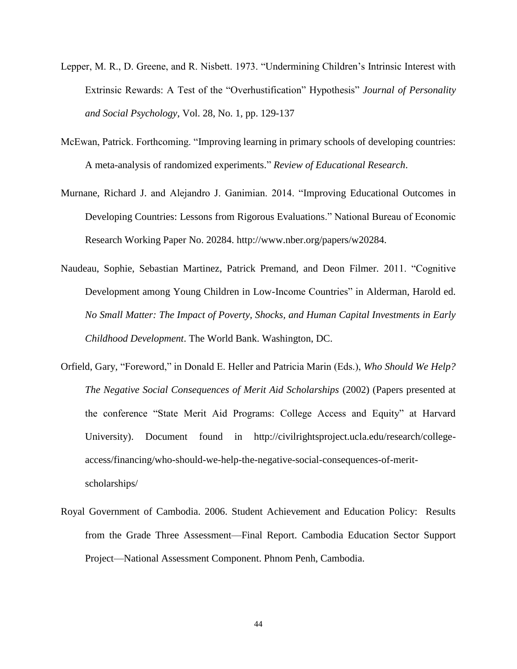- Lepper, M. R., D. Greene, and R. Nisbett. 1973. "Undermining Children's Intrinsic Interest with Extrinsic Rewards: A Test of the "Overhustification" Hypothesis" *Journal of Personality and Social Psychology*, Vol. 28, No. 1, pp. 129-137
- McEwan, Patrick. Forthcoming. "Improving learning in primary schools of developing countries: A meta-analysis of randomized experiments." *Review of Educational Research*.
- Murnane, Richard J. and Alejandro J. Ganimian. 2014. "Improving Educational Outcomes in Developing Countries: Lessons from Rigorous Evaluations." National Bureau of Economic Research Working Paper No. 20284. http://www.nber.org/papers/w20284.
- Naudeau, Sophie, Sebastian Martinez, Patrick Premand, and Deon Filmer. 2011. "Cognitive Development among Young Children in Low-Income Countries" in Alderman, Harold ed. *No Small Matter: The Impact of Poverty, Shocks, and Human Capital Investments in Early Childhood Development*. The World Bank. Washington, DC.
- Orfield, Gary, "Foreword," in Donald E. Heller and Patricia Marin (Eds.), *Who Should We Help? The Negative Social Consequences of Merit Aid Scholarships* (2002) (Papers presented at the conference "State Merit Aid Programs: College Access and Equity" at Harvard University). Document found in http://civilrightsproject.ucla.edu/research/collegeaccess/financing/who-should-we-help-the-negative-social-consequences-of-meritscholarships/
- Royal Government of Cambodia. 2006. Student Achievement and Education Policy: Results from the Grade Three Assessment—Final Report. Cambodia Education Sector Support Project—National Assessment Component. Phnom Penh, Cambodia.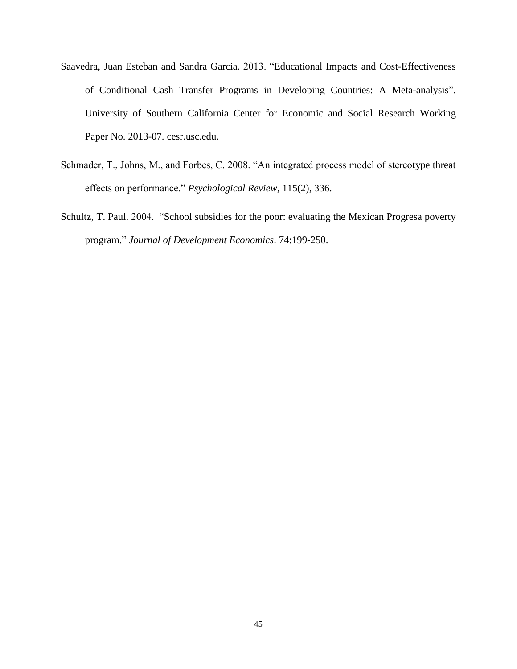- Saavedra, Juan Esteban and Sandra Garcia. 2013. "Educational Impacts and Cost-Effectiveness of Conditional Cash Transfer Programs in Developing Countries: A Meta-analysis". University of Southern California Center for Economic and Social Research Working Paper No. 2013-07. cesr.usc.edu.
- Schmader, T., Johns, M., and Forbes, C. 2008. "An integrated process model of stereotype threat effects on performance." *Psychological Review*, 115(2), 336.
- Schultz, T. Paul. 2004. "School subsidies for the poor: evaluating the Mexican Progresa poverty program." *Journal of Development Economics*. 74:199-250.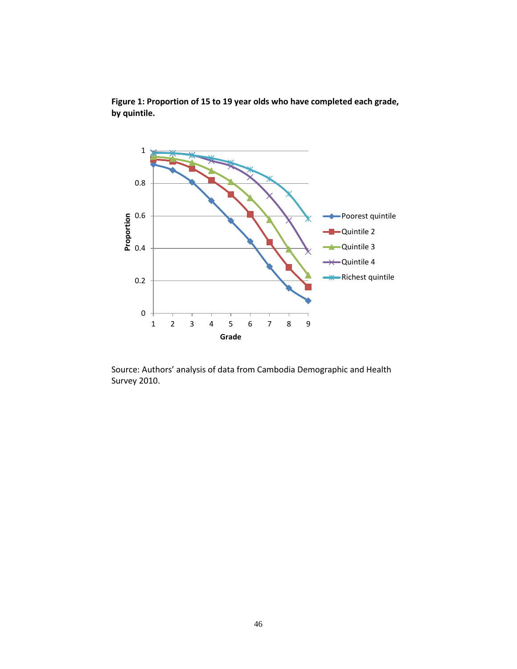

**Figure 1: Proportion of 15 to 19 year olds who have completed each grade, by quintile.**

Source: Authors' analysis of data from Cambodia Demographic and Health Survey 2010.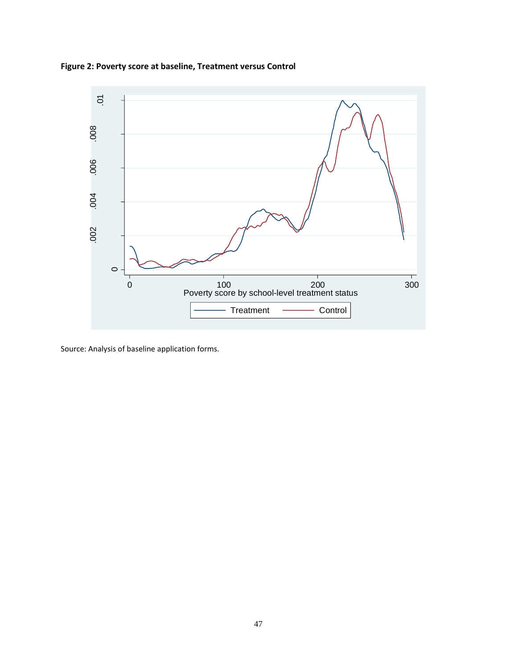**Figure 2: Poverty score at baseline, Treatment versus Control**



Source: Analysis of baseline application forms.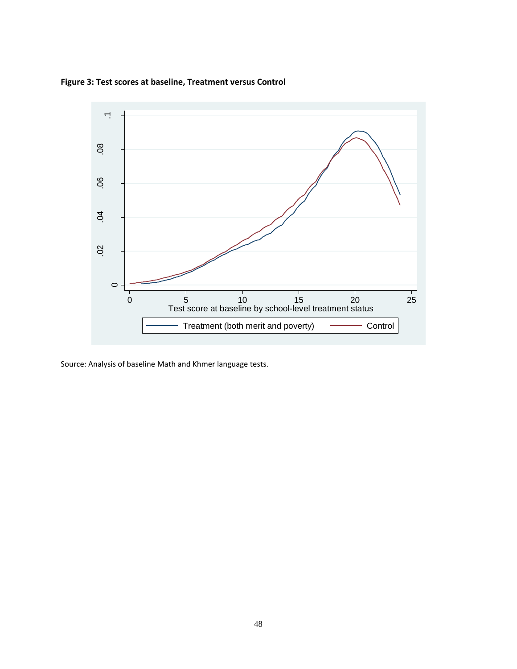**Figure 3: Test scores at baseline, Treatment versus Control**



Source: Analysis of baseline Math and Khmer language tests.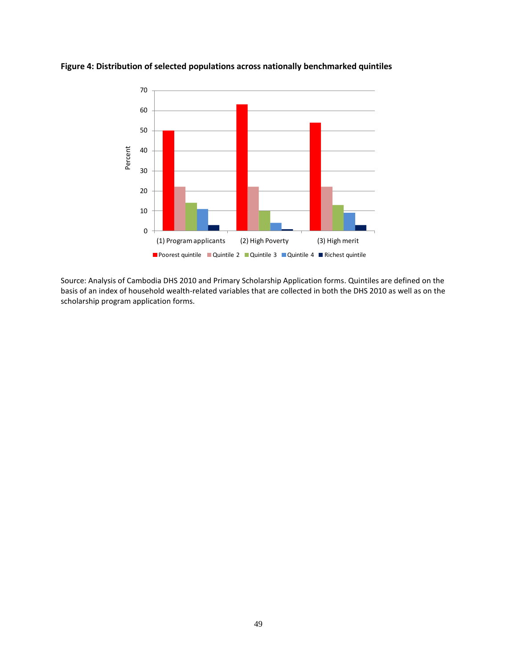

**Figure 4: Distribution of selected populations across nationally benchmarked quintiles**

Source: Analysis of Cambodia DHS 2010 and Primary Scholarship Application forms. Quintiles are defined on the basis of an index of household wealth-related variables that are collected in both the DHS 2010 as well as on the scholarship program application forms.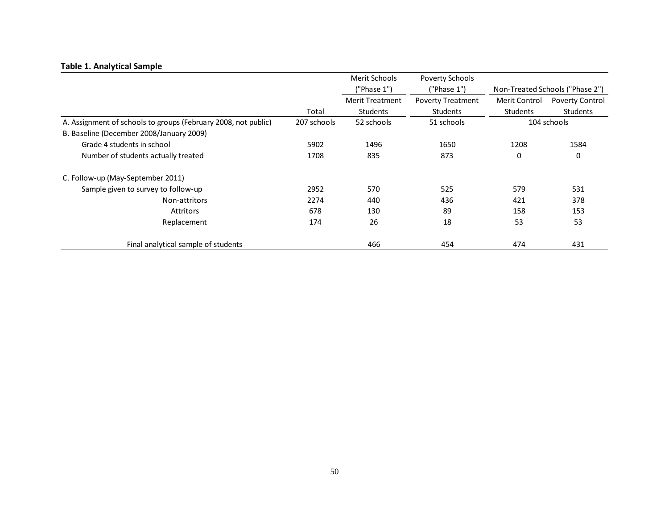|                                                                |             | Merit Schools<br>Poverty Schools<br>("Phase 1")<br>('Phase 1') |                          |                 | Non-Treated Schools ("Phase 2") |
|----------------------------------------------------------------|-------------|----------------------------------------------------------------|--------------------------|-----------------|---------------------------------|
|                                                                |             | <b>Merit Treatment</b>                                         | <b>Poverty Treatment</b> | Merit Control   | Poverty Control                 |
|                                                                | Total       | <b>Students</b>                                                | <b>Students</b>          | <b>Students</b> | <b>Students</b>                 |
| A. Assignment of schools to groups (February 2008, not public) | 207 schools | 52 schools                                                     | 51 schools               |                 | 104 schools                     |
| B. Baseline (December 2008/January 2009)                       |             |                                                                |                          |                 |                                 |
| Grade 4 students in school                                     | 5902        | 1496                                                           | 1650                     | 1208            | 1584                            |
| Number of students actually treated                            | 1708        | 835                                                            | 873                      | 0               | 0                               |
| C. Follow-up (May-September 2011)                              |             |                                                                |                          |                 |                                 |
| Sample given to survey to follow-up                            | 2952        | 570                                                            | 525                      | 579             | 531                             |
| Non-attritors                                                  | 2274        | 440                                                            | 436                      | 421             | 378                             |
| Attritors                                                      | 678         | 130                                                            | 89                       | 158             | 153                             |
| Replacement                                                    | 174         | 26                                                             | 18                       | 53              | 53                              |
| Final analytical sample of students                            |             | 466                                                            | 454                      | 474             | 431                             |

# **Table 1. Analytical Sample**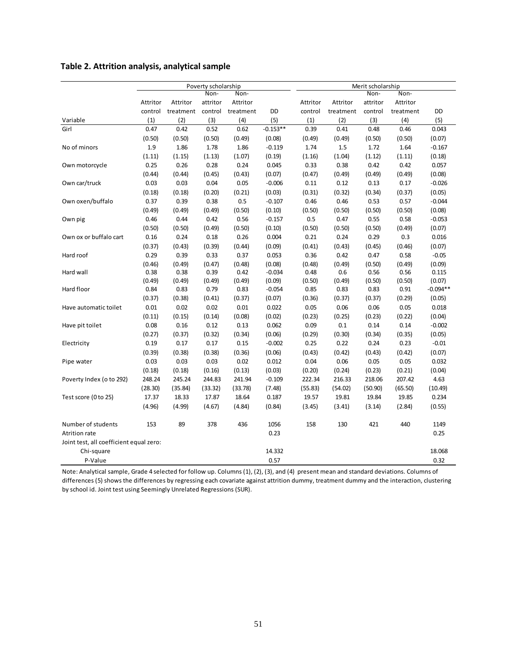# **Table 2. Attrition analysis, analytical sample**

|                                         |          |           | Poverty scholarship |           |            | Merit scholarship |           |          |           |            |
|-----------------------------------------|----------|-----------|---------------------|-----------|------------|-------------------|-----------|----------|-----------|------------|
|                                         |          |           | Non-                | Non-      |            |                   |           | Non-     | Non-      |            |
|                                         | Attritor | Attritor  | attritor            | Attritor  |            | Attritor          | Attritor  | attritor | Attritor  |            |
|                                         | control  | treatment | control             | treatment | DD         | control           | treatment | control  | treatment | DD         |
| Variable                                | (1)      | (2)       | (3)                 | (4)       | (5)        | (1)               | (2)       | (3)      | (4)       | (5)        |
| Girl                                    | 0.47     | 0.42      | 0.52                | 0.62      | $-0.153**$ | 0.39              | 0.41      | 0.48     | 0.46      | 0.043      |
|                                         | (0.50)   | (0.50)    | (0.50)              | (0.49)    | (0.08)     | (0.49)            | (0.49)    | (0.50)   | (0.50)    | (0.07)     |
| No of minors                            | 1.9      | 1.86      | 1.78                | 1.86      | $-0.119$   | 1.74              | 1.5       | 1.72     | 1.64      | $-0.167$   |
|                                         | (1.11)   | (1.15)    | (1.13)              | (1.07)    | (0.19)     | (1.16)            | (1.04)    | (1.12)   | (1.11)    | (0.18)     |
| Own motorcycle                          | 0.25     | 0.26      | 0.28                | 0.24      | 0.045      | 0.33              | 0.38      | 0.42     | 0.42      | 0.057      |
|                                         | (0.44)   | (0.44)    | (0.45)              | (0.43)    | (0.07)     | (0.47)            | (0.49)    | (0.49)   | (0.49)    | (0.08)     |
| Own car/truck                           | 0.03     | 0.03      | 0.04                | 0.05      | $-0.006$   | 0.11              | 0.12      | 0.13     | 0.17      | $-0.026$   |
|                                         | (0.18)   | (0.18)    | (0.20)              | (0.21)    | (0.03)     | (0.31)            | (0.32)    | (0.34)   | (0.37)    | (0.05)     |
| Own oxen/buffalo                        | 0.37     | 0.39      | 0.38                | 0.5       | $-0.107$   | 0.46              | 0.46      | 0.53     | 0.57      | $-0.044$   |
|                                         | (0.49)   | (0.49)    | (0.49)              | (0.50)    | (0.10)     | (0.50)            | (0.50)    | (0.50)   | (0.50)    | (0.08)     |
| Own pig                                 | 0.46     | 0.44      | 0.42                | 0.56      | $-0.157$   | 0.5               | 0.47      | 0.55     | 0.58      | $-0.053$   |
|                                         | (0.50)   | (0.50)    | (0.49)              | (0.50)    | (0.10)     | (0.50)            | (0.50)    | (0.50)   | (0.49)    | (0.07)     |
| Own ox or buffalo cart                  | 0.16     | 0.24      | 0.18                | 0.26      | 0.004      | 0.21              | 0.24      | 0.29     | 0.3       | 0.016      |
|                                         | (0.37)   | (0.43)    | (0.39)              | (0.44)    | (0.09)     | (0.41)            | (0.43)    | (0.45)   | (0.46)    | (0.07)     |
| Hard roof                               | 0.29     | 0.39      | 0.33                | 0.37      | 0.053      | 0.36              | 0.42      | 0.47     | 0.58      | $-0.05$    |
|                                         | (0.46)   | (0.49)    | (0.47)              | (0.48)    | (0.08)     | (0.48)            | (0.49)    | (0.50)   | (0.49)    | (0.09)     |
| Hard wall                               | 0.38     | 0.38      | 0.39                | 0.42      | $-0.034$   | 0.48              | 0.6       | 0.56     | 0.56      | 0.115      |
|                                         | (0.49)   | (0.49)    | (0.49)              | (0.49)    | (0.09)     | (0.50)            | (0.49)    | (0.50)   | (0.50)    | (0.07)     |
| Hard floor                              | 0.84     | 0.83      | 0.79                | 0.83      | $-0.054$   | 0.85              | 0.83      | 0.83     | 0.91      | $-0.094**$ |
|                                         | (0.37)   | (0.38)    | (0.41)              | (0.37)    | (0.07)     | (0.36)            | (0.37)    | (0.37)   | (0.29)    | (0.05)     |
| Have automatic toilet                   | 0.01     | 0.02      | 0.02                | 0.01      | 0.022      | 0.05              | 0.06      | 0.06     | 0.05      | 0.018      |
|                                         | (0.11)   | (0.15)    | (0.14)              | (0.08)    | (0.02)     | (0.23)            | (0.25)    | (0.23)   | (0.22)    | (0.04)     |
| Have pit toilet                         | 0.08     | 0.16      | 0.12                | 0.13      | 0.062      | 0.09              | 0.1       | 0.14     | 0.14      | $-0.002$   |
|                                         | (0.27)   | (0.37)    | (0.32)              | (0.34)    | (0.06)     | (0.29)            | (0.30)    | (0.34)   | (0.35)    | (0.05)     |
| Electricity                             | 0.19     | 0.17      | 0.17                | 0.15      | $-0.002$   | 0.25              | 0.22      | 0.24     | 0.23      | $-0.01$    |
|                                         | (0.39)   | (0.38)    | (0.38)              | (0.36)    | (0.06)     | (0.43)            | (0.42)    | (0.43)   | (0.42)    | (0.07)     |
| Pipe water                              | 0.03     | 0.03      | 0.03                | 0.02      | 0.012      | 0.04              | 0.06      | 0.05     | 0.05      | 0.032      |
|                                         | (0.18)   | (0.18)    | (0.16)              | (0.13)    | (0.03)     | (0.20)            | (0.24)    | (0.23)   | (0.21)    | (0.04)     |
| Poverty Index (o to 292)                | 248.24   | 245.24    | 244.83              | 241.94    | $-0.109$   | 222.34            | 216.33    | 218.06   | 207.42    | 4.63       |
|                                         | (28.30)  | (35.84)   | (33.32)             | (33.78)   | (7.48)     | (55.83)           | (54.02)   | (50.90)  | (65.50)   | (10.49)    |
| Test score (0 to 25)                    | 17.37    | 18.33     | 17.87               | 18.64     | 0.187      | 19.57             | 19.81     | 19.84    | 19.85     | 0.234      |
|                                         | (4.96)   | (4.99)    | (4.67)              | (4.84)    | (0.84)     | (3.45)            | (3.41)    | (3.14)   | (2.84)    | (0.55)     |
| Number of students                      | 153      | 89        | 378                 | 436       | 1056       | 158               | 130       | 421      | 440       | 1149       |
| <b>Atrition rate</b>                    |          |           |                     |           | 0.23       |                   |           |          |           | 0.25       |
| Joint test, all coefficient equal zero: |          |           |                     |           |            |                   |           |          |           |            |
| Chi-square                              |          |           |                     |           | 14.332     |                   |           |          |           | 18.068     |
| P-Value                                 |          |           |                     |           | 0.57       |                   |           |          |           | 0.32       |

Note: Analytical sample, Grade 4 selected for follow up. Columns (1), (2), (3), and (4) present mean and standard deviations. Columns of differences (5) shows the differences by regressing each covariate against attrition dummy, treatment dummy and the interaction, clustering by school id. Joint test using Seemingly Unrelated Regressions (SUR).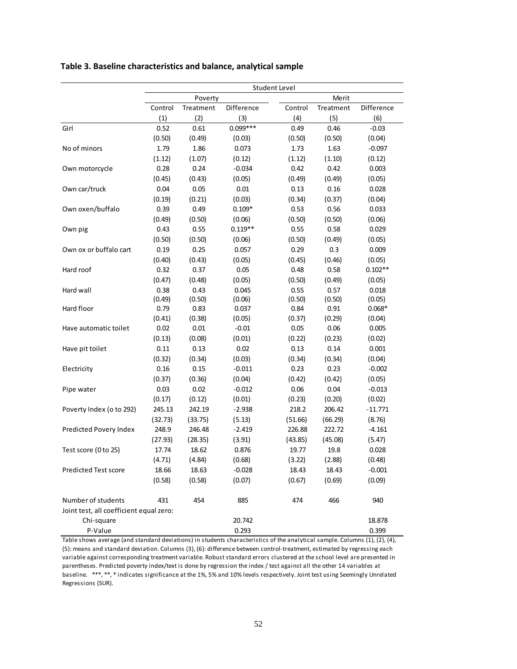|                                         |         |           |            | Student Level |           |            |
|-----------------------------------------|---------|-----------|------------|---------------|-----------|------------|
|                                         |         | Poverty   |            |               | Merit     |            |
|                                         | Control | Treatment | Difference | Control       | Treatment | Difference |
|                                         | (1)     | (2)       | (3)        | (4)           | (5)       | (6)        |
| Girl                                    | 0.52    | 0.61      | $0.099***$ | 0.49          | 0.46      | $-0.03$    |
|                                         | (0.50)  | (0.49)    | (0.03)     | (0.50)        | (0.50)    | (0.04)     |
| No of minors                            | 1.79    | 1.86      | 0.073      | 1.73          | 1.63      | $-0.097$   |
|                                         | (1.12)  | (1.07)    | (0.12)     | (1.12)        | (1.10)    | (0.12)     |
| Own motorcycle                          | 0.28    | 0.24      | $-0.034$   | 0.42          | 0.42      | 0.003      |
|                                         | (0.45)  | (0.43)    | (0.05)     | (0.49)        | (0.49)    | (0.05)     |
| Own car/truck                           | 0.04    | 0.05      | 0.01       | 0.13          | 0.16      | 0.028      |
|                                         | (0.19)  | (0.21)    | (0.03)     | (0.34)        | (0.37)    | (0.04)     |
| Own oxen/buffalo                        | 0.39    | 0.49      | $0.109*$   | 0.53          | 0.56      | 0.033      |
|                                         | (0.49)  | (0.50)    | (0.06)     | (0.50)        | (0.50)    | (0.06)     |
| Own pig                                 | 0.43    | 0.55      | $0.119**$  | 0.55          | 0.58      | 0.029      |
|                                         | (0.50)  | (0.50)    | (0.06)     | (0.50)        | (0.49)    | (0.05)     |
| Own ox or buffalo cart                  | 0.19    | 0.25      | 0.057      | 0.29          | 0.3       | 0.009      |
|                                         | (0.40)  | (0.43)    | (0.05)     | (0.45)        | (0.46)    | (0.05)     |
| Hard roof                               | 0.32    | 0.37      | 0.05       | 0.48          | 0.58      | $0.102**$  |
|                                         | (0.47)  | (0.48)    | (0.05)     | (0.50)        | (0.49)    | (0.05)     |
| Hard wall                               | 0.38    | 0.43      | 0.045      | 0.55          | 0.57      | 0.018      |
|                                         | (0.49)  | (0.50)    | (0.06)     | (0.50)        | (0.50)    | (0.05)     |
| Hard floor                              | 0.79    | 0.83      | 0.037      | 0.84          | 0.91      | $0.068*$   |
|                                         | (0.41)  | (0.38)    | (0.05)     | (0.37)        | (0.29)    | (0.04)     |
| Have automatic toilet                   | 0.02    | 0.01      | $-0.01$    | 0.05          | 0.06      | 0.005      |
|                                         | (0.13)  | (0.08)    | (0.01)     | (0.22)        | (0.23)    | (0.02)     |
| Have pit toilet                         | 0.11    | 0.13      | 0.02       | 0.13          | 0.14      | 0.001      |
|                                         | (0.32)  | (0.34)    | (0.03)     | (0.34)        | (0.34)    | (0.04)     |
| Electricity                             | 0.16    | 0.15      | $-0.011$   | 0.23          | 0.23      | $-0.002$   |
|                                         | (0.37)  | (0.36)    | (0.04)     | (0.42)        | (0.42)    | (0.05)     |
| Pipe water                              | 0.03    | 0.02      | $-0.012$   | 0.06          | 0.04      | $-0.013$   |
|                                         | (0.17)  | (0.12)    | (0.01)     | (0.23)        | (0.20)    | (0.02)     |
| Poverty Index (o to 292)                | 245.13  | 242.19    | $-2.938$   | 218.2         | 206.42    | $-11.771$  |
|                                         | (32.73) | (33.75)   | (5.13)     | (51.66)       | (66.29)   | (8.76)     |
| Predicted Povery Index                  | 248.9   | 246.48    | $-2.419$   | 226.88        | 222.72    | $-4.161$   |
|                                         | (27.93) | (28.35)   | (3.91)     | (43.85)       | (45.08)   | (5.47)     |
| Test score (0 to 25)                    | 17.74   | 18.62     | 0.876      | 19.77         | 19.8      | 0.028      |
|                                         | (4.71)  | (4.84)    | (0.68)     | (3.22)        | (2.88)    | (0.48)     |
| <b>Predicted Test score</b>             | 18.66   | 18.63     | $-0.028$   | 18.43         | 18.43     | $-0.001$   |
|                                         | (0.58)  | (0.58)    | (0.07)     | (0.67)        | (0.69)    | (0.09)     |
| Number of students                      | 431     | 454       | 885        | 474           | 466       | 940        |
| Joint test, all coefficient equal zero: |         |           |            |               |           |            |
| Chi-square                              |         |           | 20.742     |               |           | 18.878     |
| P-Value                                 |         |           | 0.293      |               |           | 0.399      |

## **Table 3. Baseline characteristics and balance, analytical sample**

Table shows average (and standard deviations) in students characteristics of the analytical sample. Columns (1), (2), (4), (5): means and standard deviation. Columns (3), (6): difference between control-treatment, estimated by regressing each variable against corresponding treatment variable. Robust standard errors clustered at the school level are presented in parentheses. Predicted poverty index/text is done by regression the index / test against all the other 14 variables at baseline. \*\*\*, \*\*, \* indicates significance at the 1%, 5% and 10% levels respectively. Joint test using Seemingly Unrelated Regressions (SUR).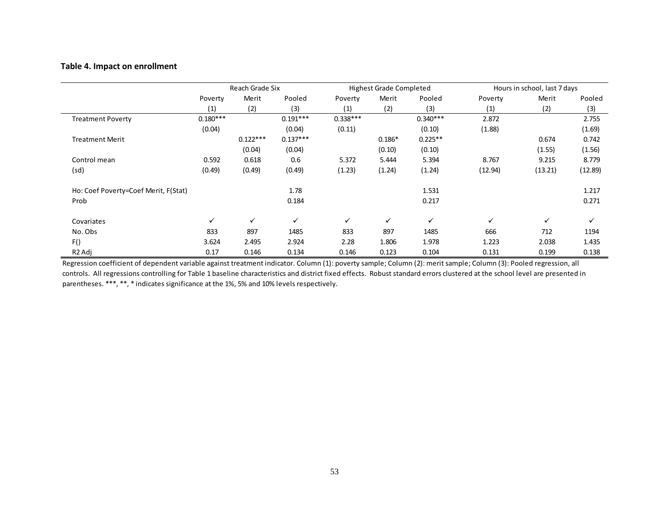## **Table 4. Impact on enrollment**

|                                      |            | Reach Grade Six |              |            | <b>Highest Grade Completed</b> |              |         | Hours in school, last 7 days |         |
|--------------------------------------|------------|-----------------|--------------|------------|--------------------------------|--------------|---------|------------------------------|---------|
|                                      | Poverty    | Merit           | Pooled       | Poverty    | Merit                          | Pooled       | Poverty | Merit                        | Pooled  |
|                                      | (1)        | (2)             | (3)          | (1)        | (2)                            | (3)          | (1)     | (2)                          | (3)     |
| <b>Treatment Poverty</b>             | $0.180***$ |                 | $0.191***$   | $0.338***$ |                                | $0.340***$   | 2.872   |                              | 2.755   |
|                                      | (0.04)     |                 | (0.04)       | (0.11)     |                                | (0.10)       | (1.88)  |                              | (1.69)  |
| <b>Treatment Merit</b>               |            | $0.122***$      | $0.137***$   |            | $0.186*$                       | $0.225**$    |         | 0.674                        | 0.742   |
|                                      |            | (0.04)          | (0.04)       |            | (0.10)                         | (0.10)       |         | (1.55)                       | (1.56)  |
| Control mean                         | 0.592      | 0.618           | 0.6          | 5.372      | 5.444                          | 5.394        | 8.767   | 9.215                        | 8.779   |
| (sd)                                 | (0.49)     | (0.49)          | (0.49)       | (1.23)     | (1.24)                         | (1.24)       | (12.94) | (13.21)                      | (12.89) |
| Ho: Coef Poverty=Coef Merit, F(Stat) |            |                 | 1.78         |            |                                | 1.531        |         |                              | 1.217   |
| Prob                                 |            |                 | 0.184        |            |                                | 0.217        |         |                              | 0.271   |
| Covariates                           | ✓          | $\checkmark$    | $\checkmark$ | ✓          | ✓                              | $\checkmark$ | ✓       | $\checkmark$                 | ✓       |
| No. Obs                              | 833        | 897             | 1485         | 833        | 897                            | 1485         | 666     | 712                          | 1194    |
| F()                                  | 3.624      | 2.495           | 2.924        | 2.28       | 1.806                          | 1.978        | 1.223   | 2.038                        | 1.435   |
| R <sub>2</sub> Adj                   | 0.17       | 0.146           | 0.134        | 0.146      | 0.123                          | 0.104        | 0.131   | 0.199                        | 0.138   |

Regression coefficient of dependent variable against treatment indicator. Column (1): poverty sample; Column (2): merit sample; Column (3): Pooled regression, all controls. All regressions controlling for Table 1 baseline characteristics and district fixed effects. Robust standard errors clustered at the school level are presented in parentheses. \*\*\*, \*\*, \* indicates significance at the 1%, 5% and 10% levels respectively.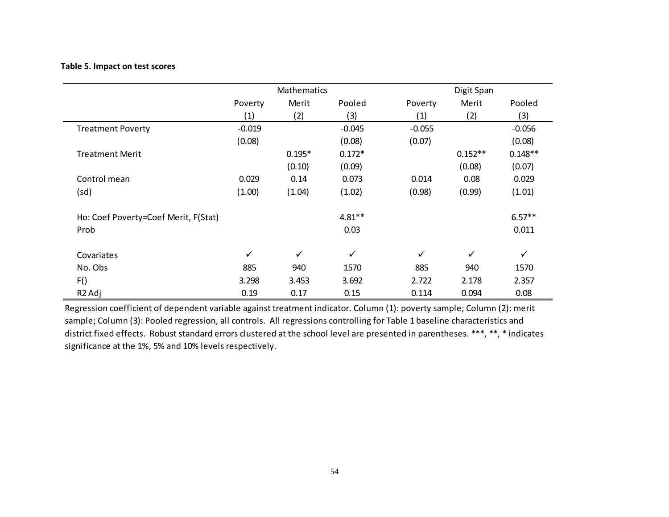# **Table 5. Impact on test scores**

|                                      |              | Mathematics  |              |              | Digit Span   |              |  |
|--------------------------------------|--------------|--------------|--------------|--------------|--------------|--------------|--|
|                                      | Poverty      | Merit        | Pooled       | Poverty      | Merit        | Pooled       |  |
|                                      | (1)          | (2)          | (3)          | (1)          | (2)          | (3)          |  |
| <b>Treatment Poverty</b>             | $-0.019$     |              | $-0.045$     | $-0.055$     |              | $-0.056$     |  |
|                                      | (0.08)       |              | (0.08)       | (0.07)       |              | (0.08)       |  |
| <b>Treatment Merit</b>               |              | $0.195*$     | $0.172*$     |              | $0.152**$    | $0.148**$    |  |
|                                      |              | (0.10)       | (0.09)       |              | (0.08)       | (0.07)       |  |
| Control mean                         | 0.029        | 0.14         | 0.073        | 0.014        | 0.08         | 0.029        |  |
| (sd)                                 | (1.00)       | (1.04)       | (1.02)       | (0.98)       | (0.99)       | (1.01)       |  |
| Ho: Coef Poverty=Coef Merit, F(Stat) |              |              | $4.81***$    |              |              | $6.57**$     |  |
| Prob                                 |              |              | 0.03         |              |              | 0.011        |  |
| Covariates                           | $\checkmark$ | $\checkmark$ | $\checkmark$ | $\checkmark$ | $\checkmark$ | $\checkmark$ |  |
| No. Obs                              | 885          | 940          | 1570         | 885          | 940          | 1570         |  |
| F()                                  | 3.298        | 3.453        | 3.692        | 2.722        | 2.178        | 2.357        |  |
| R <sub>2</sub> Adj                   | 0.19         | 0.17         | 0.15         | 0.114        | 0.094        | 0.08         |  |

Regression coefficient of dependent variable against treatment indicator. Column (1): poverty sample; Column (2): merit sample; Column (3): Pooled regression, all controls. All regressions controlling for Table 1 baseline characteristics and district fixed effects. Robust standard errors clustered at the school level are presented in parentheses. \*\*\*, \*\*, \* indicates significance at the 1%, 5% and 10% levels respectively.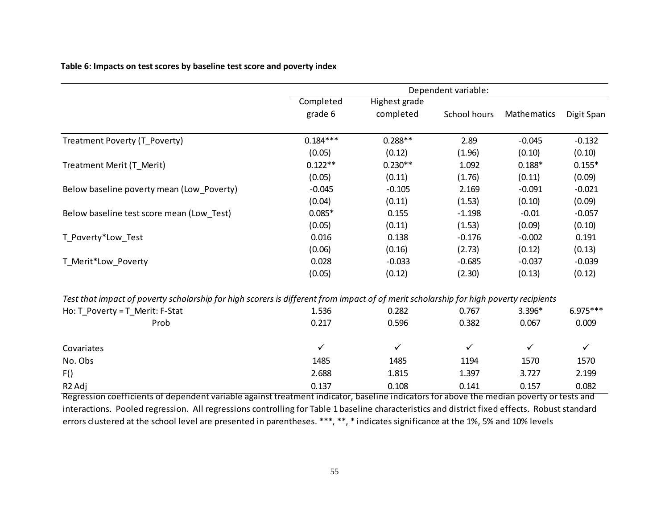**Table 6: Impacts on test scores by baseline test score and poverty index**

|                                                                                                                                       |              |                      | Dependent variable: |              |              |
|---------------------------------------------------------------------------------------------------------------------------------------|--------------|----------------------|---------------------|--------------|--------------|
|                                                                                                                                       | Completed    | <b>Highest grade</b> |                     |              |              |
|                                                                                                                                       | grade 6      | completed            | School hours        | Mathematics  | Digit Span   |
| Treatment Poverty (T_Poverty)                                                                                                         | $0.184***$   | $0.288**$            | 2.89                | $-0.045$     | $-0.132$     |
|                                                                                                                                       | (0.05)       | (0.12)               | (1.96)              | (0.10)       | (0.10)       |
| Treatment Merit (T_Merit)                                                                                                             | $0.122**$    | $0.230**$            | 1.092               | $0.188*$     | $0.155*$     |
|                                                                                                                                       | (0.05)       | (0.11)               | (1.76)              | (0.11)       | (0.09)       |
| Below baseline poverty mean (Low_Poverty)                                                                                             | $-0.045$     | $-0.105$             | 2.169               | $-0.091$     | $-0.021$     |
|                                                                                                                                       | (0.04)       | (0.11)               | (1.53)              | (0.10)       | (0.09)       |
| Below baseline test score mean (Low_Test)                                                                                             | $0.085*$     | 0.155                | $-1.198$            | $-0.01$      | $-0.057$     |
|                                                                                                                                       | (0.05)       | (0.11)               | (1.53)              | (0.09)       | (0.10)       |
| T_Poverty*Low_Test                                                                                                                    | 0.016        | 0.138                | $-0.176$            | $-0.002$     | 0.191        |
|                                                                                                                                       | (0.06)       | (0.16)               | (2.73)              | (0.12)       | (0.13)       |
| T_Merit*Low_Poverty                                                                                                                   | 0.028        | $-0.033$             | $-0.685$            | $-0.037$     | $-0.039$     |
|                                                                                                                                       | (0.05)       | (0.12)               | (2.30)              | (0.13)       | (0.12)       |
| Test that impact of poverty scholarship for high scorers is different from impact of of merit scholarship for high poverty recipients |              |                      |                     |              |              |
| Ho: T Poverty = T Merit: F-Stat                                                                                                       | 1.536        | 0.282                | 0.767               | 3.396*       | $6.975***$   |
| Prob                                                                                                                                  | 0.217        | 0.596                | 0.382               | 0.067        | 0.009        |
| Covariates                                                                                                                            | $\checkmark$ | $\checkmark$         | $\checkmark$        | $\checkmark$ | $\checkmark$ |
| No. Obs                                                                                                                               | 1485         | 1485                 | 1194                | 1570         | 1570         |
| F()                                                                                                                                   | 2.688        | 1.815                | 1.397               | 3.727        | 2.199        |
| R <sub>2</sub> Adj                                                                                                                    | 0.137        | 0.108                | 0.141               | 0.157        | 0.082        |

Regression coefficients of dependent variable against treatment indicator, baseline indicators for above the median poverty or tests and interactions. Pooled regression. All regressions controlling for Table 1 baseline characteristics and district fixed effects. Robust standard errors clustered at the school level are presented in parentheses. \*\*\*, \*\*, \* indicates significance at the 1%, 5% and 10% levels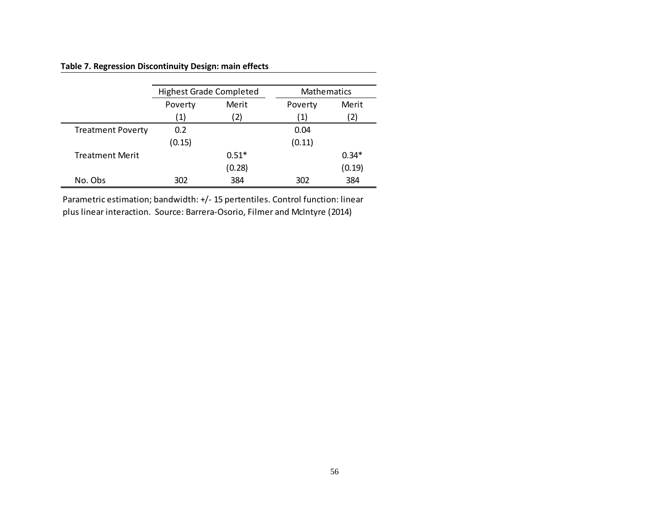# **Table 7. Regression Discontinuity Design: main effects**

|                          | <b>Highest Grade Completed</b> |         | Mathematics |         |
|--------------------------|--------------------------------|---------|-------------|---------|
|                          | Poverty                        | Merit   | Poverty     | Merit   |
|                          | $\left( 1\right)$              | 2)      | (1)         | 2)      |
| <b>Treatment Poverty</b> | 0.2                            |         | 0.04        |         |
|                          | (0.15)                         |         | (0.11)      |         |
| <b>Treatment Merit</b>   |                                | $0.51*$ |             | $0.34*$ |
|                          |                                | (0.28)  |             | (0.19)  |
| No. Obs                  | 302                            | 384     | 302         | 384     |

Parametric estimation; bandwidth: +/- 15 pertentiles. Control function: linear plus linear interaction. Source: Barrera-Osorio, Filmer and McIntyre (2014)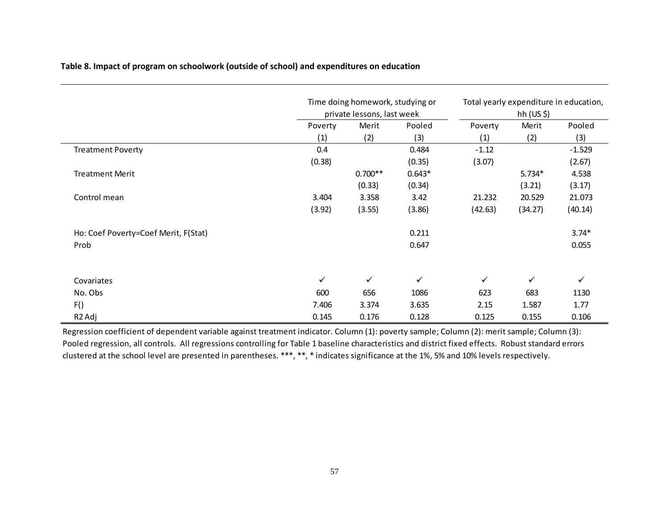# **Table 8. Impact of program on schoolwork (outside of school) and expenditures on education**

|                                      |         | Time doing homework, studying or |              |              | Total yearly expenditure in education,<br>hh $(US \, \xi)$<br>Merit<br>Poverty<br>(1)<br>(2)<br>$-1.12$<br>(3.07)<br>$5.734*$<br>(3.21)<br>21.232<br>20.529 |              |
|--------------------------------------|---------|----------------------------------|--------------|--------------|-------------------------------------------------------------------------------------------------------------------------------------------------------------|--------------|
|                                      |         | private lessons, last week       |              |              |                                                                                                                                                             |              |
|                                      | Poverty | Merit                            | Pooled       |              |                                                                                                                                                             | Pooled       |
|                                      | (1)     | (2)                              | (3)          |              |                                                                                                                                                             | (3)          |
| <b>Treatment Poverty</b>             | 0.4     |                                  | 0.484        |              |                                                                                                                                                             | $-1.529$     |
|                                      | (0.38)  |                                  | (0.35)       |              |                                                                                                                                                             | (2.67)       |
| <b>Treatment Merit</b>               |         | $0.700**$                        | $0.643*$     |              |                                                                                                                                                             | 4.538        |
|                                      |         | (0.33)                           | (0.34)       |              |                                                                                                                                                             | (3.17)       |
| Control mean                         | 3.404   | 3.358                            | 3.42         |              |                                                                                                                                                             | 21.073       |
|                                      | (3.92)  | (3.55)                           | (3.86)       | (42.63)      | (34.27)                                                                                                                                                     | (40.14)      |
| Ho: Coef Poverty=Coef Merit, F(Stat) |         |                                  | 0.211        |              |                                                                                                                                                             | $3.74*$      |
| Prob                                 |         |                                  | 0.647        |              |                                                                                                                                                             | 0.055        |
| Covariates                           | ✓       | ✓                                | $\checkmark$ | $\checkmark$ | $\checkmark$                                                                                                                                                | $\checkmark$ |
| No. Obs                              | 600     | 656                              | 1086         | 623          | 683                                                                                                                                                         | 1130         |
| F()                                  | 7.406   | 3.374                            | 3.635        | 2.15         | 1.587                                                                                                                                                       | 1.77         |
| R <sub>2</sub> Adj                   | 0.145   | 0.176                            | 0.128        | 0.125        | 0.155                                                                                                                                                       | 0.106        |

Regression coefficient of dependent variable against treatment indicator. Column (1): poverty sample; Column (2): merit sample; Column (3): Pooled regression, all controls. All regressions controlling for Table 1 baseline characteristics and district fixed effects. Robust standard errors clustered at the school level are presented in parentheses. \*\*\*, \*\*, \* indicates significance at the 1%, 5% and 10% levels respectively.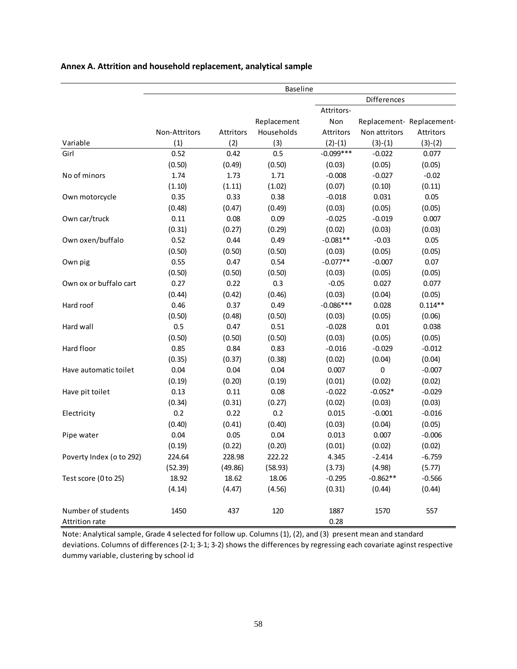|                          |               |           | <b>Baseline</b> |             |               |                           |
|--------------------------|---------------|-----------|-----------------|-------------|---------------|---------------------------|
|                          |               |           |                 |             | Differences   |                           |
|                          |               |           |                 | Attritors-  |               |                           |
|                          |               |           | Replacement     | Non         |               | Replacement- Replacement- |
|                          | Non-Attritors | Attritors | Households      | Attritors   | Non attritors | Attritors                 |
| Variable                 | (1)           | (2)       | (3)             | $(2)-(1)$   | $(3)-(1)$     | $(3)-(2)$                 |
| Girl                     | 0.52          | 0.42      | 0.5             | $-0.099***$ | $-0.022$      | 0.077                     |
|                          | (0.50)        | (0.49)    | (0.50)          | (0.03)      | (0.05)        | (0.05)                    |
| No of minors             | 1.74          | 1.73      | 1.71            | $-0.008$    | $-0.027$      | $-0.02$                   |
|                          | (1.10)        | (1.11)    | (1.02)          | (0.07)      | (0.10)        | (0.11)                    |
| Own motorcycle           | 0.35          | 0.33      | 0.38            | $-0.018$    | 0.031         | 0.05                      |
|                          | (0.48)        | (0.47)    | (0.49)          | (0.03)      | (0.05)        | (0.05)                    |
| Own car/truck            | 0.11          | 0.08      | 0.09            | $-0.025$    | $-0.019$      | 0.007                     |
|                          | (0.31)        | (0.27)    | (0.29)          | (0.02)      | (0.03)        | (0.03)                    |
| Own oxen/buffalo         | 0.52          | 0.44      | 0.49            | $-0.081**$  | $-0.03$       | 0.05                      |
|                          | (0.50)        | (0.50)    | (0.50)          | (0.03)      | (0.05)        | (0.05)                    |
| Own pig                  | 0.55          | 0.47      | 0.54            | $-0.077**$  | $-0.007$      | 0.07                      |
|                          | (0.50)        | (0.50)    | (0.50)          | (0.03)      | (0.05)        | (0.05)                    |
| Own ox or buffalo cart   | 0.27          | 0.22      | 0.3             | $-0.05$     | 0.027         | 0.077                     |
|                          | (0.44)        | (0.42)    | (0.46)          | (0.03)      | (0.04)        | (0.05)                    |
| Hard roof                | 0.46          | 0.37      | 0.49            | $-0.086***$ | 0.028         | $0.114**$                 |
|                          | (0.50)        | (0.48)    | (0.50)          | (0.03)      | (0.05)        | (0.06)                    |
| Hard wall                | 0.5           | 0.47      | 0.51            | $-0.028$    | 0.01          | 0.038                     |
|                          | (0.50)        | (0.50)    | (0.50)          | (0.03)      | (0.05)        | (0.05)                    |
| Hard floor               | 0.85          | 0.84      | 0.83            | $-0.016$    | $-0.029$      | $-0.012$                  |
|                          | (0.35)        | (0.37)    | (0.38)          | (0.02)      | (0.04)        | (0.04)                    |
| Have automatic toilet    | 0.04          | 0.04      | 0.04            | 0.007       | $\pmb{0}$     | $-0.007$                  |
|                          | (0.19)        | (0.20)    | (0.19)          | (0.01)      | (0.02)        | (0.02)                    |
| Have pit toilet          | 0.13          | 0.11      | 0.08            | $-0.022$    | $-0.052*$     | $-0.029$                  |
|                          | (0.34)        | (0.31)    | (0.27)          | (0.02)      | (0.03)        | (0.03)                    |
| Electricity              | 0.2           | 0.22      | 0.2             | 0.015       | $-0.001$      | $-0.016$                  |
|                          | (0.40)        | (0.41)    | (0.40)          | (0.03)      | (0.04)        | (0.05)                    |
| Pipe water               | 0.04          | 0.05      | 0.04            | 0.013       | 0.007         | $-0.006$                  |
|                          | (0.19)        | (0.22)    | (0.20)          | (0.01)      | (0.02)        | (0.02)                    |
| Poverty Index (o to 292) | 224.64        | 228.98    | 222.22          | 4.345       | $-2.414$      | $-6.759$                  |
|                          | (52.39)       | (49.86)   | (58.93)         | (3.73)      | (4.98)        | (5.77)                    |
| Test score (0 to 25)     | 18.92         | 18.62     | 18.06           | $-0.295$    | $-0.862**$    | $-0.566$                  |
|                          | (4.14)        | (4.47)    | (4.56)          | (0.31)      | (0.44)        | (0.44)                    |
| Number of students       | 1450          | 437       | 120             | 1887        | 1570          | 557                       |
| Attrition rate           |               |           |                 | 0.28        |               |                           |

## **Annex A. Attrition and household replacement, analytical sample**

Note: Analytical sample, Grade 4 selected for follow up. Columns (1), (2), and (3) present mean and standard deviations. Columns of differences (2-1; 3-1; 3-2) shows the differences by regressing each covariate aginst respective dummy variable, clustering by school id